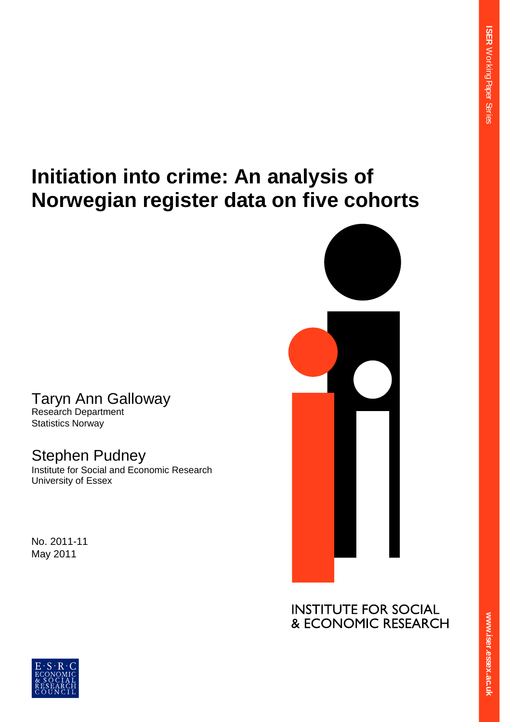# **Initiation into crime: An analysis of Norwegian register data on five cohorts**

# Taryn Ann Galloway

Research Department Statistics Norway

## Stephen Pudney

Institute for Social and Economic Research University of Essex

No. 2011-11 May 2011



**INSTITUTE FOR SOCIAL** & ECONOMIC RESEARCH

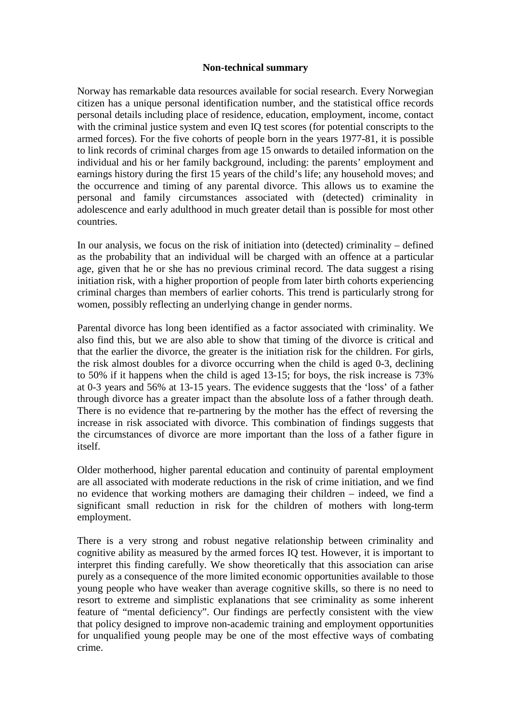#### **Non-technical summary**

Norway has remarkable data resources available for social research. Every Norwegian citizen has a unique personal identification number, and the statistical office records personal details including place of residence, education, employment, income, contact with the criminal justice system and even IQ test scores (for potential conscripts to the armed forces). For the five cohorts of people born in the years 1977-81, it is possible to link records of criminal charges from age 15 onwards to detailed information on the individual and his or her family background, including: the parents' employment and earnings history during the first 15 years of the child's life; any household moves; and the occurrence and timing of any parental divorce. This allows us to examine the personal and family circumstances associated with (detected) criminality in adolescence and early adulthood in much greater detail than is possible for most other countries.

In our analysis, we focus on the risk of initiation into (detected) criminality – defined as the probability that an individual will be charged with an offence at a particular age, given that he or she has no previous criminal record. The data suggest a rising initiation risk, with a higher proportion of people from later birth cohorts experiencing criminal charges than members of earlier cohorts. This trend is particularly strong for women, possibly reflecting an underlying change in gender norms.

Parental divorce has long been identified as a factor associated with criminality. We also find this, but we are also able to show that timing of the divorce is critical and that the earlier the divorce, the greater is the initiation risk for the children. For girls, the risk almost doubles for a divorce occurring when the child is aged 0-3, declining to 50% if it happens when the child is aged 13-15; for boys, the risk increase is 73% at 0-3 years and 56% at 13-15 years. The evidence suggests that the 'loss' of a father through divorce has a greater impact than the absolute loss of a father through death. There is no evidence that re-partnering by the mother has the effect of reversing the increase in risk associated with divorce. This combination of findings suggests that the circumstances of divorce are more important than the loss of a father figure in itself.

Older motherhood, higher parental education and continuity of parental employment are all associated with moderate reductions in the risk of crime initiation, and we find no evidence that working mothers are damaging their children – indeed, we find a significant small reduction in risk for the children of mothers with long-term employment.

There is a very strong and robust negative relationship between criminality and cognitive ability as measured by the armed forces IQ test. However, it is important to interpret this finding carefully. We show theoretically that this association can arise purely as a consequence of the more limited economic opportunities available to those young people who have weaker than average cognitive skills, so there is no need to resort to extreme and simplistic explanations that see criminality as some inherent feature of "mental deficiency". Our findings are perfectly consistent with the view that policy designed to improve non-academic training and employment opportunities for unqualified young people may be one of the most effective ways of combating crime.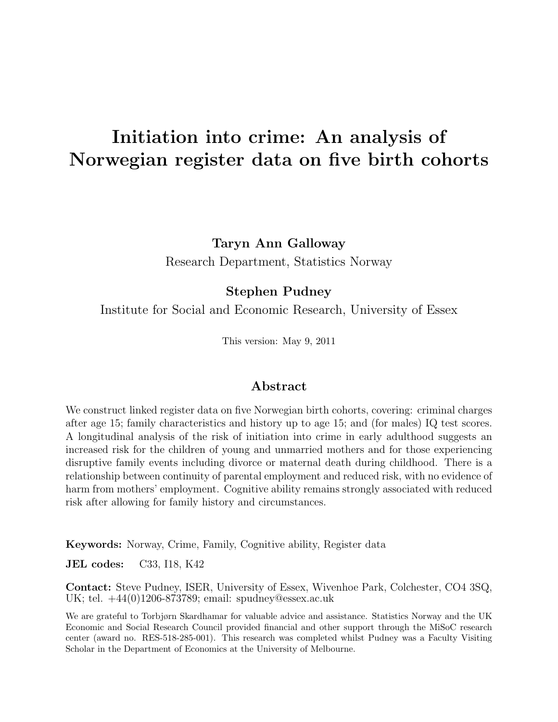# Initiation into crime: An analysis of Norwegian register data on five birth cohorts

Taryn Ann Galloway

Research Department, Statistics Norway

#### Stephen Pudney

Institute for Social and Economic Research, University of Essex

This version: May 9, 2011

#### Abstract

We construct linked register data on five Norwegian birth cohorts, covering: criminal charges after age 15; family characteristics and history up to age 15; and (for males) IQ test scores. A longitudinal analysis of the risk of initiation into crime in early adulthood suggests an increased risk for the children of young and unmarried mothers and for those experiencing disruptive family events including divorce or maternal death during childhood. There is a relationship between continuity of parental employment and reduced risk, with no evidence of harm from mothers' employment. Cognitive ability remains strongly associated with reduced risk after allowing for family history and circumstances.

Keywords: Norway, Crime, Family, Cognitive ability, Register data

JEL codes: C33, I18, K42

Contact: Steve Pudney, ISER, University of Essex, Wivenhoe Park, Colchester, CO4 3SQ, UK; tel. +44(0)1206-873789; email: spudney@essex.ac.uk

We are grateful to Torbjørn Skardhamar for valuable advice and assistance. Statistics Norway and the UK Economic and Social Research Council provided financial and other support through the MiSoC research center (award no. RES-518-285-001). This research was completed whilst Pudney was a Faculty Visiting Scholar in the Department of Economics at the University of Melbourne.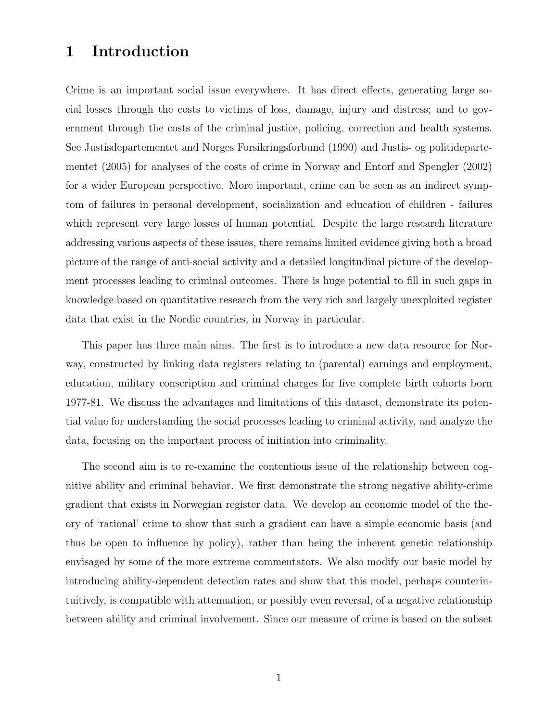### 1 Introduction

Crime is an important social issue everywhere. It has direct effects, generating large social losses through the costs to victims of loss, damage, injury and distress; and to government through the costs of the criminal justice, policing, correction and health systems. See Justisdepartementet and Norges Forsikringsforbund (1990) and Justis- og politidepartementet (2005) for analyses of the costs of crime in Norway and Entorf and Spengler (2002) for a wider European perspective. More important, crime can be seen as an indirect symptom of failures in personal development, socialization and education of children - failures which represent very large losses of human potential. Despite the large research literature addressing various aspects of these issues, there remains limited evidence giving both a broad picture of the range of anti-social activity and a detailed longitudinal picture of the development processes leading to criminal outcomes. There is huge potential to fill in such gaps in knowledge based on quantitative research from the very rich and largely unexploited register data that exist in the Nordic countries, in Norway in particular.

This paper has three main aims. The first is to introduce a new data resource for Norway, constructed by linking data registers relating to (parental) earnings and employment, education, military conscription and criminal charges for five complete birth cohorts born 1977-81. We discuss the advantages and limitations of this dataset, demonstrate its potential value for understanding the social processes leading to criminal activity, and analyze the data, focusing on the important process of initiation into criminality.

The second aim is to re-examine the contentious issue of the relationship between cognitive ability and criminal behavior. We first demonstrate the strong negative ability-crime gradient that exists in Norwegian register data. We develop an economic model of the theory of 'rational' crime to show that such a gradient can have a simple economic basis (and thus be open to influence by policy), rather than being the inherent genetic relationship envisaged by some of the more extreme commentators. We also modify our basic model by introducing ability-dependent detection rates and show that this model, perhaps counterintuitively, is compatible with attenuation, or possibly even reversal, of a negative relationship between ability and criminal involvement. Since our measure of crime is based on the subset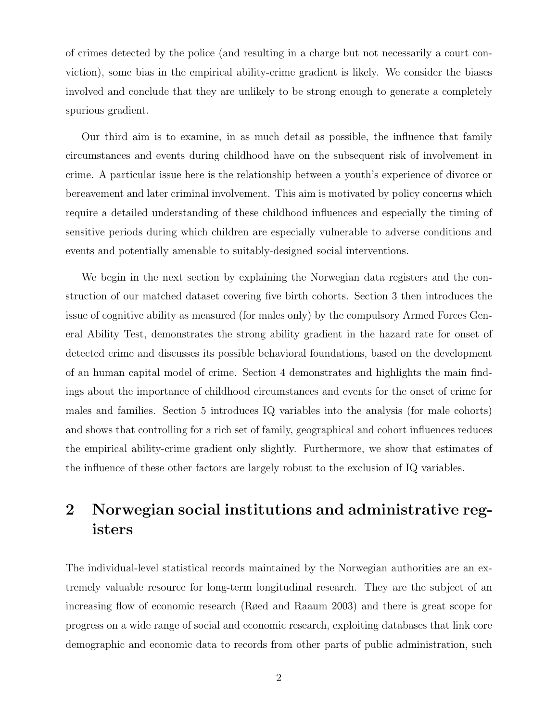of crimes detected by the police (and resulting in a charge but not necessarily a court conviction), some bias in the empirical ability-crime gradient is likely. We consider the biases involved and conclude that they are unlikely to be strong enough to generate a completely spurious gradient.

Our third aim is to examine, in as much detail as possible, the influence that family circumstances and events during childhood have on the subsequent risk of involvement in crime. A particular issue here is the relationship between a youth's experience of divorce or bereavement and later criminal involvement. This aim is motivated by policy concerns which require a detailed understanding of these childhood influences and especially the timing of sensitive periods during which children are especially vulnerable to adverse conditions and events and potentially amenable to suitably-designed social interventions.

We begin in the next section by explaining the Norwegian data registers and the construction of our matched dataset covering five birth cohorts. Section 3 then introduces the issue of cognitive ability as measured (for males only) by the compulsory Armed Forces General Ability Test, demonstrates the strong ability gradient in the hazard rate for onset of detected crime and discusses its possible behavioral foundations, based on the development of an human capital model of crime. Section 4 demonstrates and highlights the main findings about the importance of childhood circumstances and events for the onset of crime for males and families. Section 5 introduces IQ variables into the analysis (for male cohorts) and shows that controlling for a rich set of family, geographical and cohort influences reduces the empirical ability-crime gradient only slightly. Furthermore, we show that estimates of the influence of these other factors are largely robust to the exclusion of IQ variables.

### 2 Norwegian social institutions and administrative registers

The individual-level statistical records maintained by the Norwegian authorities are an extremely valuable resource for long-term longitudinal research. They are the subject of an increasing flow of economic research (Røed and Raaum 2003) and there is great scope for progress on a wide range of social and economic research, exploiting databases that link core demographic and economic data to records from other parts of public administration, such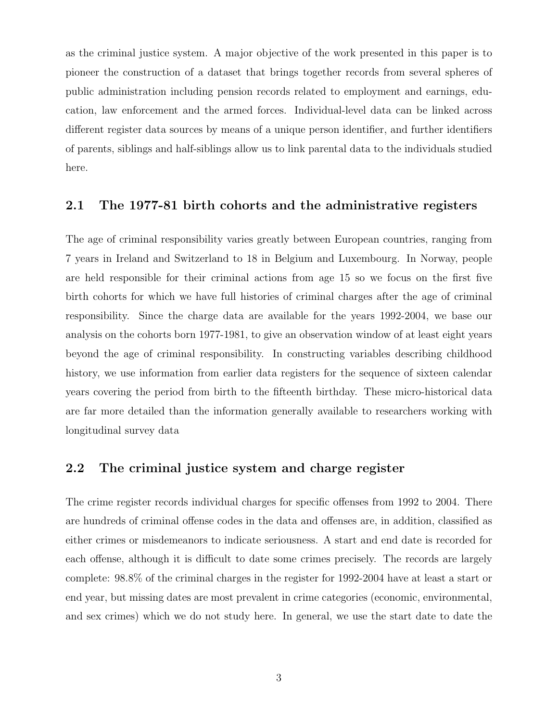as the criminal justice system. A major objective of the work presented in this paper is to pioneer the construction of a dataset that brings together records from several spheres of public administration including pension records related to employment and earnings, education, law enforcement and the armed forces. Individual-level data can be linked across different register data sources by means of a unique person identifier, and further identifiers of parents, siblings and half-siblings allow us to link parental data to the individuals studied here.

#### 2.1 The 1977-81 birth cohorts and the administrative registers

The age of criminal responsibility varies greatly between European countries, ranging from 7 years in Ireland and Switzerland to 18 in Belgium and Luxembourg. In Norway, people are held responsible for their criminal actions from age 15 so we focus on the first five birth cohorts for which we have full histories of criminal charges after the age of criminal responsibility. Since the charge data are available for the years 1992-2004, we base our analysis on the cohorts born 1977-1981, to give an observation window of at least eight years beyond the age of criminal responsibility. In constructing variables describing childhood history, we use information from earlier data registers for the sequence of sixteen calendar years covering the period from birth to the fifteenth birthday. These micro-historical data are far more detailed than the information generally available to researchers working with longitudinal survey data

#### 2.2 The criminal justice system and charge register

The crime register records individual charges for specific offenses from 1992 to 2004. There are hundreds of criminal offense codes in the data and offenses are, in addition, classified as either crimes or misdemeanors to indicate seriousness. A start and end date is recorded for each offense, although it is difficult to date some crimes precisely. The records are largely complete: 98.8% of the criminal charges in the register for 1992-2004 have at least a start or end year, but missing dates are most prevalent in crime categories (economic, environmental, and sex crimes) which we do not study here. In general, we use the start date to date the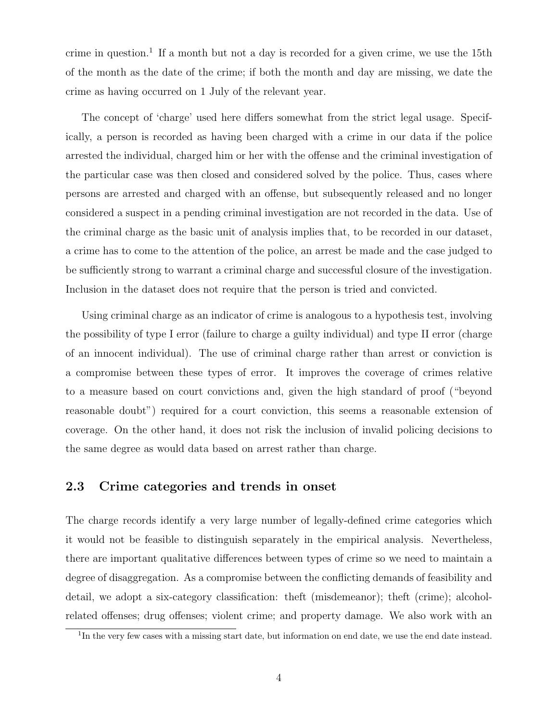crime in question.<sup>1</sup> If a month but not a day is recorded for a given crime, we use the 15th of the month as the date of the crime; if both the month and day are missing, we date the crime as having occurred on 1 July of the relevant year.

The concept of 'charge' used here differs somewhat from the strict legal usage. Specifically, a person is recorded as having been charged with a crime in our data if the police arrested the individual, charged him or her with the offense and the criminal investigation of the particular case was then closed and considered solved by the police. Thus, cases where persons are arrested and charged with an offense, but subsequently released and no longer considered a suspect in a pending criminal investigation are not recorded in the data. Use of the criminal charge as the basic unit of analysis implies that, to be recorded in our dataset, a crime has to come to the attention of the police, an arrest be made and the case judged to be sufficiently strong to warrant a criminal charge and successful closure of the investigation. Inclusion in the dataset does not require that the person is tried and convicted.

Using criminal charge as an indicator of crime is analogous to a hypothesis test, involving the possibility of type I error (failure to charge a guilty individual) and type II error (charge of an innocent individual). The use of criminal charge rather than arrest or conviction is a compromise between these types of error. It improves the coverage of crimes relative to a measure based on court convictions and, given the high standard of proof ("beyond reasonable doubt") required for a court conviction, this seems a reasonable extension of coverage. On the other hand, it does not risk the inclusion of invalid policing decisions to the same degree as would data based on arrest rather than charge.

#### 2.3 Crime categories and trends in onset

The charge records identify a very large number of legally-defined crime categories which it would not be feasible to distinguish separately in the empirical analysis. Nevertheless, there are important qualitative differences between types of crime so we need to maintain a degree of disaggregation. As a compromise between the conflicting demands of feasibility and detail, we adopt a six-category classification: theft (misdemeanor); theft (crime); alcoholrelated offenses; drug offenses; violent crime; and property damage. We also work with an

<sup>&</sup>lt;sup>1</sup>In the very few cases with a missing start date, but information on end date, we use the end date instead.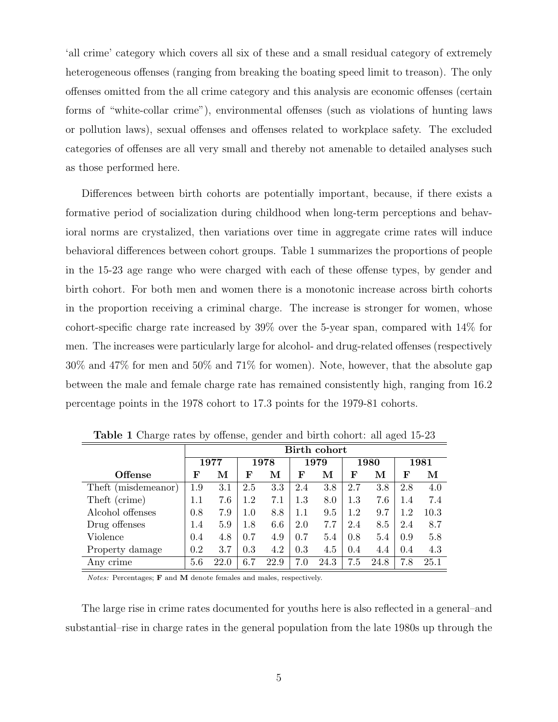'all crime' category which covers all six of these and a small residual category of extremely heterogeneous offenses (ranging from breaking the boating speed limit to treason). The only offenses omitted from the all crime category and this analysis are economic offenses (certain forms of "white-collar crime"), environmental offenses (such as violations of hunting laws or pollution laws), sexual offenses and offenses related to workplace safety. The excluded categories of offenses are all very small and thereby not amenable to detailed analyses such as those performed here.

Differences between birth cohorts are potentially important, because, if there exists a formative period of socialization during childhood when long-term perceptions and behavioral norms are crystalized, then variations over time in aggregate crime rates will induce behavioral differences between cohort groups. Table 1 summarizes the proportions of people in the 15-23 age range who were charged with each of these offense types, by gender and birth cohort. For both men and women there is a monotonic increase across birth cohorts in the proportion receiving a criminal charge. The increase is stronger for women, whose cohort-specific charge rate increased by 39% over the 5-year span, compared with 14% for men. The increases were particularly large for alcohol- and drug-related offenses (respectively 30% and 47% for men and 50% and 71% for women). Note, however, that the absolute gap between the male and female charge rate has remained consistently high, ranging from 16.2 percentage points in the 1978 cohort to 17.3 points for the 1979-81 cohorts.

|                     |         |      |     |      |     | Birth cohort |         |      |     |      |
|---------------------|---------|------|-----|------|-----|--------------|---------|------|-----|------|
|                     |         | 1977 |     | 1978 |     | 1979         |         | 1980 |     | 1981 |
| <b>Offense</b>      | F       | м    | F   | М    | F   | м            | F       | М    | F   | М    |
| Theft (misdemeanor) | 1.9     | 3.1  | 2.5 | 3.3  | 2.4 | 3.8          | 2.7     | 3.8  | 2.8 | 4.0  |
| Theft (crime)       | $1.1\,$ | 7.6  | 1.2 | 7.1  | 1.3 | 8.0          | 1.3     | 7.6  | 1.4 | 7.4  |
| Alcohol offenses    | 0.8     | 7.9  | 1.0 | 8.8  | 1.1 | 9.5          | $1.2\,$ | 9.7  | 1.2 | 10.3 |
| Drug offenses       | 1.4     | 5.9  | 1.8 | 6.6  | 2.0 | 7.7          | 2.4     | 8.5  | 2.4 | 8.7  |
| Violence            | 0.4     | 4.8  | 0.7 | 4.9  | 0.7 | 5.4          | 0.8     | 5.4  | 0.9 | 5.8  |
| Property damage     | 0.2     | 3.7  | 0.3 | 4.2  | 0.3 | 4.5          | 0.4     | 4.4  | 0.4 | 4.3  |
| Any crime           | 5.6     | 22.0 | 6.7 | 22.9 | 7.0 | 24.3         | 7.5     | 24.8 | 7.8 | 25.1 |

Table 1 Charge rates by offense, gender and birth cohort: all aged 15-23

Notes: Percentages; F and M denote females and males, respectively.

The large rise in crime rates documented for youths here is also reflected in a general–and substantial–rise in charge rates in the general population from the late 1980s up through the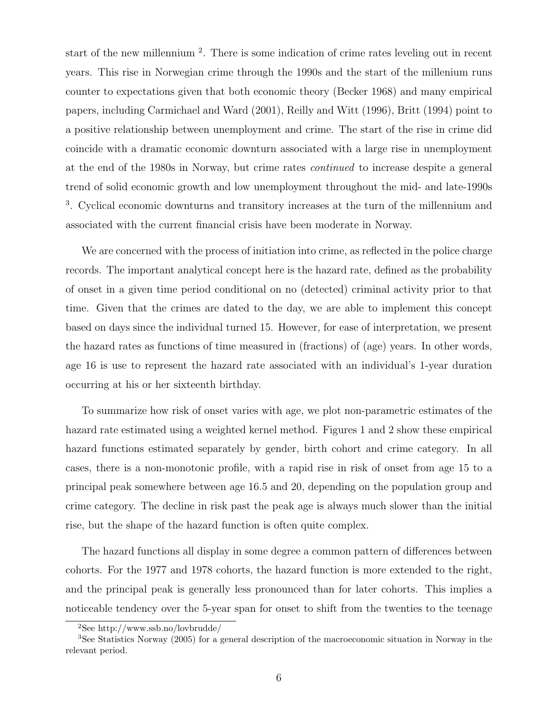start of the new millennium<sup>2</sup>. There is some indication of crime rates leveling out in recent years. This rise in Norwegian crime through the 1990s and the start of the millenium runs counter to expectations given that both economic theory (Becker 1968) and many empirical papers, including Carmichael and Ward (2001), Reilly and Witt (1996), Britt (1994) point to a positive relationship between unemployment and crime. The start of the rise in crime did coincide with a dramatic economic downturn associated with a large rise in unemployment at the end of the 1980s in Norway, but crime rates continued to increase despite a general trend of solid economic growth and low unemployment throughout the mid- and late-1990s <sup>3</sup>. Cyclical economic downturns and transitory increases at the turn of the millennium and associated with the current financial crisis have been moderate in Norway.

We are concerned with the process of initiation into crime, as reflected in the police charge records. The important analytical concept here is the hazard rate, defined as the probability of onset in a given time period conditional on no (detected) criminal activity prior to that time. Given that the crimes are dated to the day, we are able to implement this concept based on days since the individual turned 15. However, for ease of interpretation, we present the hazard rates as functions of time measured in (fractions) of (age) years. In other words, age 16 is use to represent the hazard rate associated with an individual's 1-year duration occurring at his or her sixteenth birthday.

To summarize how risk of onset varies with age, we plot non-parametric estimates of the hazard rate estimated using a weighted kernel method. Figures 1 and 2 show these empirical hazard functions estimated separately by gender, birth cohort and crime category. In all cases, there is a non-monotonic profile, with a rapid rise in risk of onset from age 15 to a principal peak somewhere between age 16.5 and 20, depending on the population group and crime category. The decline in risk past the peak age is always much slower than the initial rise, but the shape of the hazard function is often quite complex.

The hazard functions all display in some degree a common pattern of differences between cohorts. For the 1977 and 1978 cohorts, the hazard function is more extended to the right, and the principal peak is generally less pronounced than for later cohorts. This implies a noticeable tendency over the 5-year span for onset to shift from the twenties to the teenage

<sup>2</sup>See http://www.ssb.no/lovbrudde/

<sup>3</sup>See Statistics Norway (2005) for a general description of the macroeconomic situation in Norway in the relevant period.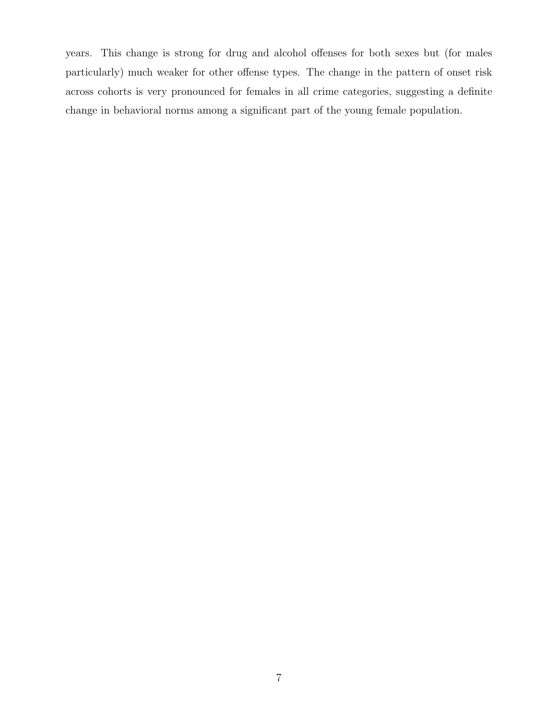years. This change is strong for drug and alcohol offenses for both sexes but (for males particularly) much weaker for other offense types. The change in the pattern of onset risk across cohorts is very pronounced for females in all crime categories, suggesting a definite change in behavioral norms among a significant part of the young female population.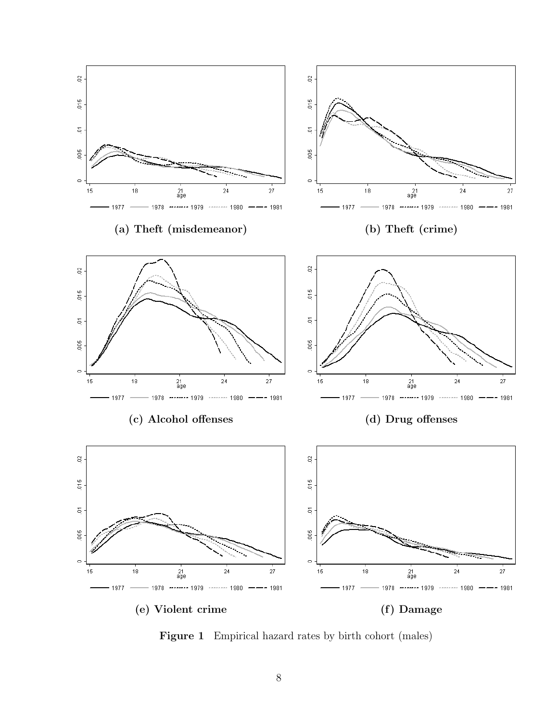

Figure 1 Empirical hazard rates by birth cohort (males)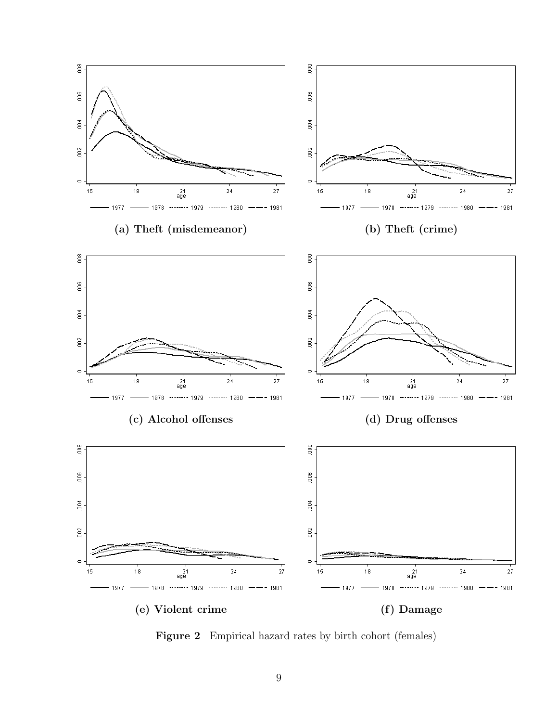

Figure 2 Empirical hazard rates by birth cohort (females)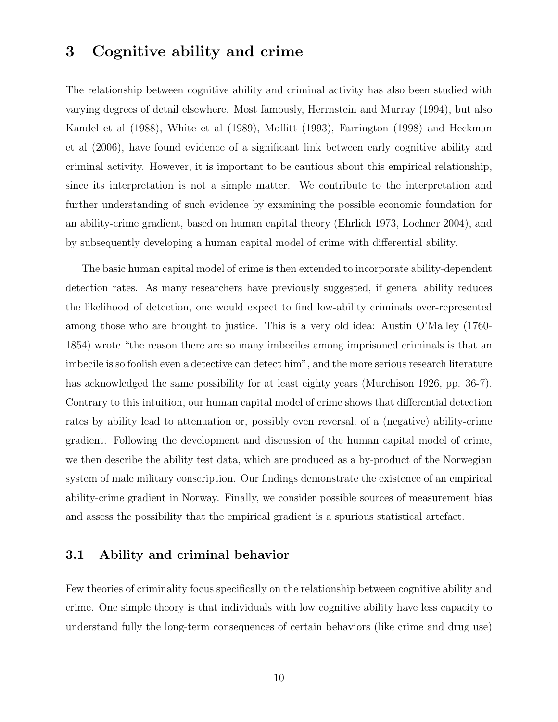### 3 Cognitive ability and crime

The relationship between cognitive ability and criminal activity has also been studied with varying degrees of detail elsewhere. Most famously, Herrnstein and Murray (1994), but also Kandel et al (1988), White et al (1989), Moffitt (1993), Farrington (1998) and Heckman et al (2006), have found evidence of a significant link between early cognitive ability and criminal activity. However, it is important to be cautious about this empirical relationship, since its interpretation is not a simple matter. We contribute to the interpretation and further understanding of such evidence by examining the possible economic foundation for an ability-crime gradient, based on human capital theory (Ehrlich 1973, Lochner 2004), and by subsequently developing a human capital model of crime with differential ability.

The basic human capital model of crime is then extended to incorporate ability-dependent detection rates. As many researchers have previously suggested, if general ability reduces the likelihood of detection, one would expect to find low-ability criminals over-represented among those who are brought to justice. This is a very old idea: Austin O'Malley (1760- 1854) wrote "the reason there are so many imbeciles among imprisoned criminals is that an imbecile is so foolish even a detective can detect him", and the more serious research literature has acknowledged the same possibility for at least eighty years (Murchison 1926, pp. 36-7). Contrary to this intuition, our human capital model of crime shows that differential detection rates by ability lead to attenuation or, possibly even reversal, of a (negative) ability-crime gradient. Following the development and discussion of the human capital model of crime, we then describe the ability test data, which are produced as a by-product of the Norwegian system of male military conscription. Our findings demonstrate the existence of an empirical ability-crime gradient in Norway. Finally, we consider possible sources of measurement bias and assess the possibility that the empirical gradient is a spurious statistical artefact.

#### 3.1 Ability and criminal behavior

Few theories of criminality focus specifically on the relationship between cognitive ability and crime. One simple theory is that individuals with low cognitive ability have less capacity to understand fully the long-term consequences of certain behaviors (like crime and drug use)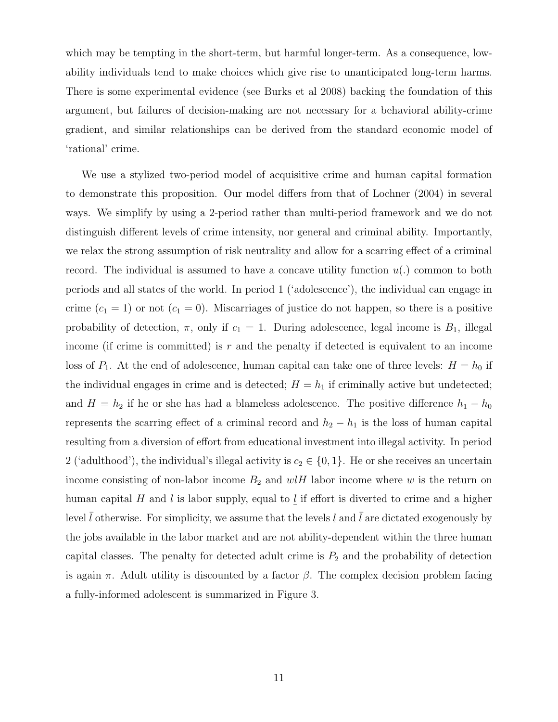which may be tempting in the short-term, but harmful longer-term. As a consequence, lowability individuals tend to make choices which give rise to unanticipated long-term harms. There is some experimental evidence (see Burks et al 2008) backing the foundation of this argument, but failures of decision-making are not necessary for a behavioral ability-crime gradient, and similar relationships can be derived from the standard economic model of 'rational' crime.

We use a stylized two-period model of acquisitive crime and human capital formation to demonstrate this proposition. Our model differs from that of Lochner (2004) in several ways. We simplify by using a 2-period rather than multi-period framework and we do not distinguish different levels of crime intensity, nor general and criminal ability. Importantly, we relax the strong assumption of risk neutrality and allow for a scarring effect of a criminal record. The individual is assumed to have a concave utility function  $u(.)$  common to both periods and all states of the world. In period 1 ('adolescence'), the individual can engage in crime  $(c_1 = 1)$  or not  $(c_1 = 0)$ . Miscarriages of justice do not happen, so there is a positive probability of detection,  $\pi$ , only if  $c_1 = 1$ . During adolescence, legal income is  $B_1$ , illegal income (if crime is committed) is r and the penalty if detected is equivalent to an income loss of  $P_1$ . At the end of adolescence, human capital can take one of three levels:  $H = h_0$  if the individual engages in crime and is detected;  $H = h_1$  if criminally active but undetected; and  $H = h_2$  if he or she has had a blameless adolescence. The positive difference  $h_1 - h_0$ represents the scarring effect of a criminal record and  $h_2 - h_1$  is the loss of human capital resulting from a diversion of effort from educational investment into illegal activity. In period 2 ('adulthood'), the individual's illegal activity is  $c_2 \in \{0, 1\}$ . He or she receives an uncertain income consisting of non-labor income  $B_2$  and  $wlH$  labor income where w is the return on human capital H and l is labor supply, equal to l if effort is diverted to crime and a higher level  $l$  otherwise. For simplicity, we assume that the levels  $l$  and  $l$  are dictated exogenously by the jobs available in the labor market and are not ability-dependent within the three human capital classes. The penalty for detected adult crime is  $P_2$  and the probability of detection is again  $\pi$ . Adult utility is discounted by a factor  $\beta$ . The complex decision problem facing a fully-informed adolescent is summarized in Figure 3.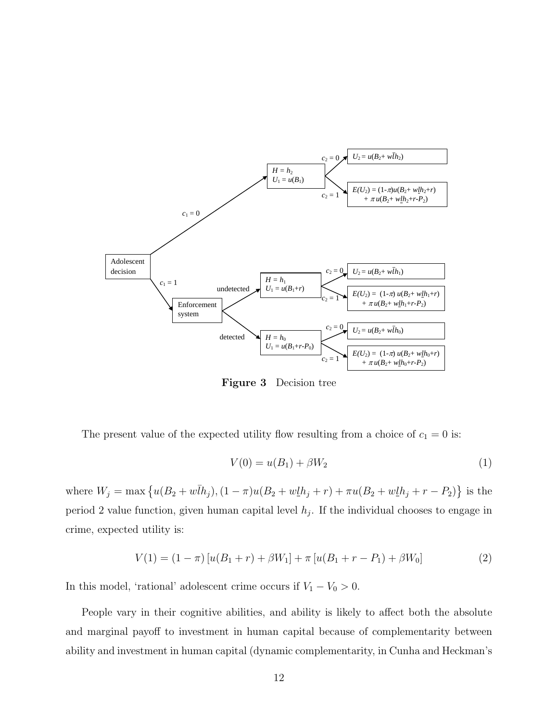

Figure 3 Decision tree

The present value of the expected utility flow resulting from a choice of  $c_1 = 0$  is:

$$
V(0) = u(B_1) + \beta W_2
$$
 (1)

where  $W_j = \max \{ u(B_2 + w\bar{I}h_j), (1 - \pi)u(B_2 + w\underline{I}h_j + r) + \pi u(B_2 + w\underline{I}h_j + r - P_2) \}$  is the period 2 value function, given human capital level  $h_j$ . If the individual chooses to engage in crime, expected utility is:

$$
V(1) = (1 - \pi) [u(B_1 + r) + \beta W_1] + \pi [u(B_1 + r - P_1) + \beta W_0]
$$
\n(2)

In this model, 'rational' adolescent crime occurs if  $V_1 - V_0 > 0$ .

People vary in their cognitive abilities, and ability is likely to affect both the absolute and marginal payoff to investment in human capital because of complementarity between ability and investment in human capital (dynamic complementarity, in Cunha and Heckman's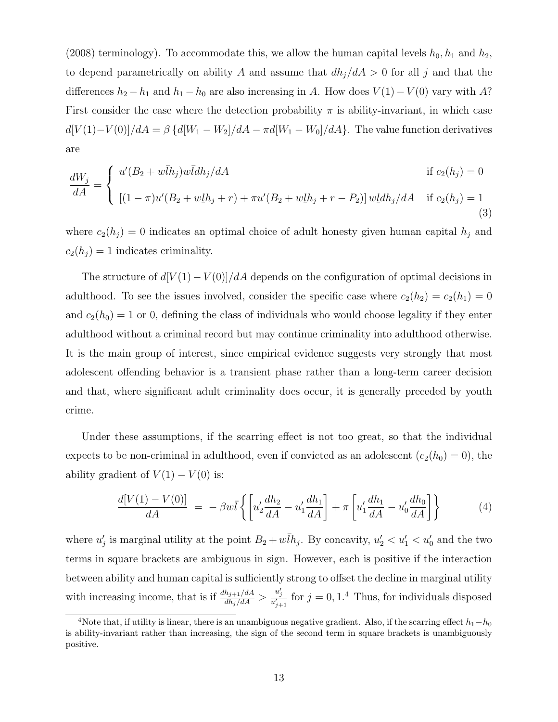(2008) terminology). To accommodate this, we allow the human capital levels  $h_0$ ,  $h_1$  and  $h_2$ , to depend parametrically on ability A and assume that  $dh_j/dA > 0$  for all j and that the differences  $h_2 - h_1$  and  $h_1 - h_0$  are also increasing in A. How does  $V(1) - V(0)$  vary with A? First consider the case where the detection probability  $\pi$  is ability-invariant, in which case  $d[V(1)-V(0)]/dA = \beta \left\{d[W_1-W_2]/dA - \pi d[W_1-W_0]/dA\right\}$ . The value function derivatives are

$$
\frac{dW_j}{dA} = \begin{cases} u'(B_2 + w\bar{I}h_j)w\bar{I}dh_j/dA & \text{if } c_2(h_j) = 0\\ [ (1 - \pi)u'(B_2 + w\underline{I}h_j + r) + \pi u'(B_2 + w\underline{I}h_j + r - P_2) ]w\underline{I}dh_j/dA & \text{if } c_2(h_j) = 1\\ [1mm] (3) \end{cases}
$$

where  $c_2(h_j) = 0$  indicates an optimal choice of adult honesty given human capital  $h_j$  and  $c_2(h_j) = 1$  indicates criminality.

The structure of  $d[V(1) - V(0)]/dA$  depends on the configuration of optimal decisions in adulthood. To see the issues involved, consider the specific case where  $c_2(h_2) = c_2(h_1) = 0$ and  $c_2(h_0) = 1$  or 0, defining the class of individuals who would choose legality if they enter adulthood without a criminal record but may continue criminality into adulthood otherwise. It is the main group of interest, since empirical evidence suggests very strongly that most adolescent offending behavior is a transient phase rather than a long-term career decision and that, where significant adult criminality does occur, it is generally preceded by youth crime.

Under these assumptions, if the scarring effect is not too great, so that the individual expects to be non-criminal in adulthood, even if convicted as an adolescent  $(c_2(h_0) = 0)$ , the ability gradient of  $V(1) - V(0)$  is:

$$
\frac{d[V(1) - V(0)]}{dA} = -\beta w \bar{l} \left\{ \left[ u_2' \frac{dh_2}{dA} - u_1' \frac{dh_1}{dA} \right] + \pi \left[ u_1' \frac{dh_1}{dA} - u_0' \frac{dh_0}{dA} \right] \right\}
$$
(4)

where  $u'_j$  is marginal utility at the point  $B_2 + w\overline{l}h_j$ . By concavity,  $u'_2 < u'_1 < u'_0$  and the two terms in square brackets are ambiguous in sign. However, each is positive if the interaction between ability and human capital is sufficiently strong to offset the decline in marginal utility with increasing income, that is if  $\frac{dh_{j+1}/dA}{dh_j/dA} > \frac{u'_j}{u'_{j+1}}$  for  $j = 0, 1.4$  Thus, for individuals disposed

<sup>&</sup>lt;sup>4</sup>Note that, if utility is linear, there is an unambiguous negative gradient. Also, if the scarring effect  $h_1-h_0$ is ability-invariant rather than increasing, the sign of the second term in square brackets is unambiguously positive.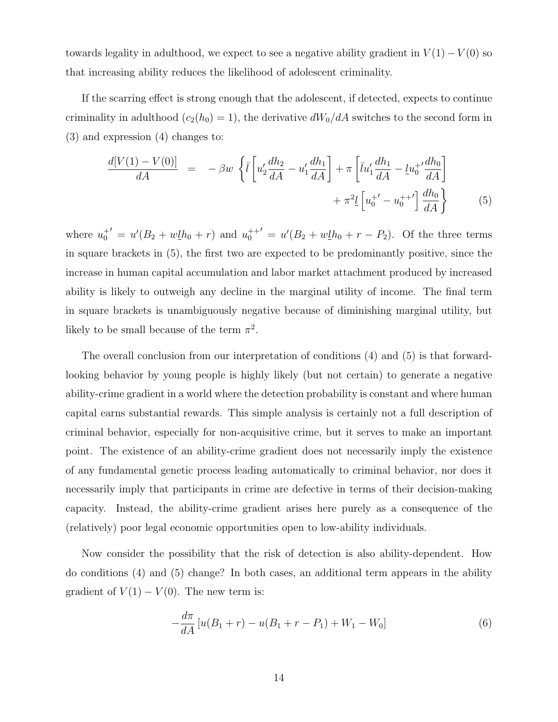towards legality in adulthood, we expect to see a negative ability gradient in  $V(1) - V(0)$  so that increasing ability reduces the likelihood of adolescent criminality.

If the scarring effect is strong enough that the adolescent, if detected, expects to continue criminality in adulthood  $(c_2(h_0) = 1)$ , the derivative  $dW_0/dA$  switches to the second form in (3) and expression (4) changes to:

$$
\frac{d[V(1) - V(0)]}{dA} = -\beta w \left\{ \bar{l} \left[ u_2' \frac{dh_2}{dA} - u_1' \frac{dh_1}{dA} \right] + \pi \left[ \bar{l}u_1' \frac{dh_1}{dA} - \underline{l}u_0^{+'} \frac{dh_0}{dA} \right] + \pi^2 \underline{l} \left[ u_0^{+'} - u_0^{+'} \right] \frac{dh_0}{dA} \right\}
$$
(5)

where  $u_0^{+'} = u'(B_2 + w\underline{l}h_0 + r)$  and  $u_0^{++'} = u'(B_2 + w\underline{l}h_0 + r - P_2)$ . Of the three terms in square brackets in (5), the first two are expected to be predominantly positive, since the increase in human capital accumulation and labor market attachment produced by increased ability is likely to outweigh any decline in the marginal utility of income. The final term in square brackets is unambiguously negative because of diminishing marginal utility, but likely to be small because of the term  $\pi^2$ .

The overall conclusion from our interpretation of conditions (4) and (5) is that forwardlooking behavior by young people is highly likely (but not certain) to generate a negative ability-crime gradient in a world where the detection probability is constant and where human capital earns substantial rewards. This simple analysis is certainly not a full description of criminal behavior, especially for non-acquisitive crime, but it serves to make an important point. The existence of an ability-crime gradient does not necessarily imply the existence of any fundamental genetic process leading automatically to criminal behavior, nor does it necessarily imply that participants in crime are defective in terms of their decision-making capacity. Instead, the ability-crime gradient arises here purely as a consequence of the (relatively) poor legal economic opportunities open to low-ability individuals.

Now consider the possibility that the risk of detection is also ability-dependent. How do conditions (4) and (5) change? In both cases, an additional term appears in the ability gradient of  $V(1) - V(0)$ . The new term is:

$$
-\frac{d\pi}{dA}\left[u(B_1+r) - u(B_1+r-P_1) + W_1 - W_0\right]
$$
\n(6)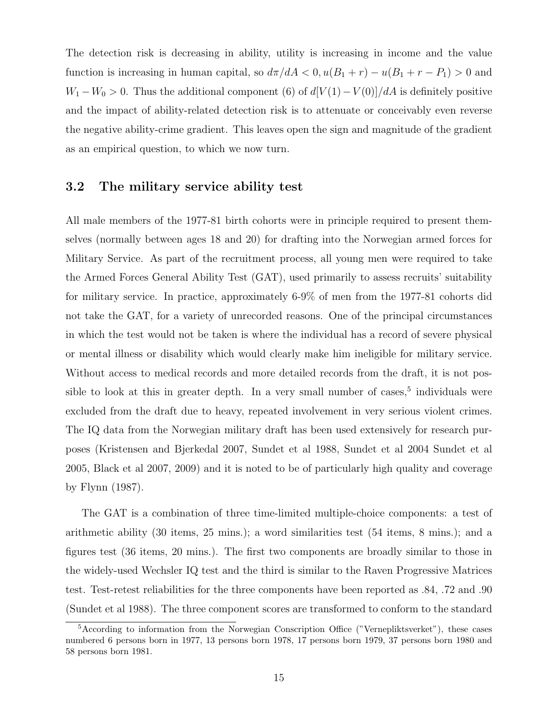The detection risk is decreasing in ability, utility is increasing in income and the value function is increasing in human capital, so  $d\pi/dA < 0$ ,  $u(B_1 + r) - u(B_1 + r - P_1) > 0$  and  $W_1 - W_0 > 0$ . Thus the additional component (6) of  $d[V(1) - V(0)]/dA$  is definitely positive and the impact of ability-related detection risk is to attenuate or conceivably even reverse the negative ability-crime gradient. This leaves open the sign and magnitude of the gradient as an empirical question, to which we now turn.

#### 3.2 The military service ability test

All male members of the 1977-81 birth cohorts were in principle required to present themselves (normally between ages 18 and 20) for drafting into the Norwegian armed forces for Military Service. As part of the recruitment process, all young men were required to take the Armed Forces General Ability Test (GAT), used primarily to assess recruits' suitability for military service. In practice, approximately 6-9% of men from the 1977-81 cohorts did not take the GAT, for a variety of unrecorded reasons. One of the principal circumstances in which the test would not be taken is where the individual has a record of severe physical or mental illness or disability which would clearly make him ineligible for military service. Without access to medical records and more detailed records from the draft, it is not possible to look at this in greater depth. In a very small number of cases,  $5$  individuals were excluded from the draft due to heavy, repeated involvement in very serious violent crimes. The IQ data from the Norwegian military draft has been used extensively for research purposes (Kristensen and Bjerkedal 2007, Sundet et al 1988, Sundet et al 2004 Sundet et al 2005, Black et al 2007, 2009) and it is noted to be of particularly high quality and coverage by Flynn (1987).

The GAT is a combination of three time-limited multiple-choice components: a test of arithmetic ability (30 items, 25 mins.); a word similarities test (54 items, 8 mins.); and a figures test (36 items, 20 mins.). The first two components are broadly similar to those in the widely-used Wechsler IQ test and the third is similar to the Raven Progressive Matrices test. Test-retest reliabilities for the three components have been reported as .84, .72 and .90 (Sundet et al 1988). The three component scores are transformed to conform to the standard

<sup>&</sup>lt;sup>5</sup>According to information from the Norwegian Conscription Office ("Vernepliktsverket"), these cases numbered 6 persons born in 1977, 13 persons born 1978, 17 persons born 1979, 37 persons born 1980 and 58 persons born 1981.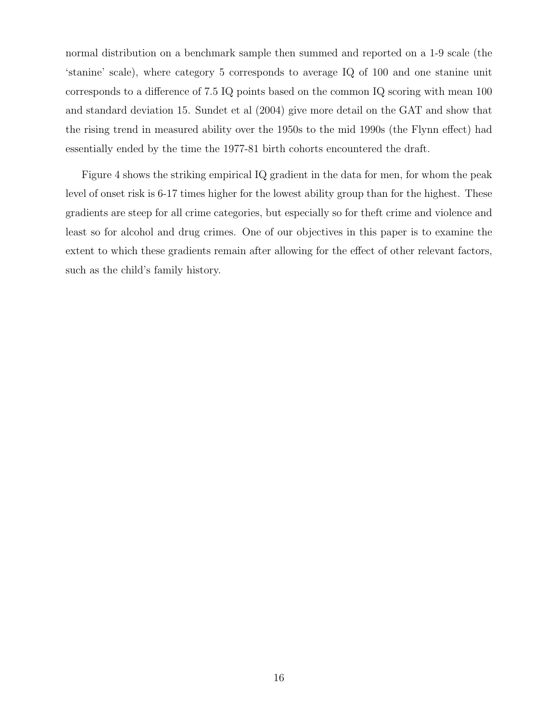normal distribution on a benchmark sample then summed and reported on a 1-9 scale (the 'stanine' scale), where category 5 corresponds to average IQ of 100 and one stanine unit corresponds to a difference of 7.5 IQ points based on the common IQ scoring with mean 100 and standard deviation 15. Sundet et al (2004) give more detail on the GAT and show that the rising trend in measured ability over the 1950s to the mid 1990s (the Flynn effect) had essentially ended by the time the 1977-81 birth cohorts encountered the draft.

Figure 4 shows the striking empirical IQ gradient in the data for men, for whom the peak level of onset risk is 6-17 times higher for the lowest ability group than for the highest. These gradients are steep for all crime categories, but especially so for theft crime and violence and least so for alcohol and drug crimes. One of our objectives in this paper is to examine the extent to which these gradients remain after allowing for the effect of other relevant factors, such as the child's family history.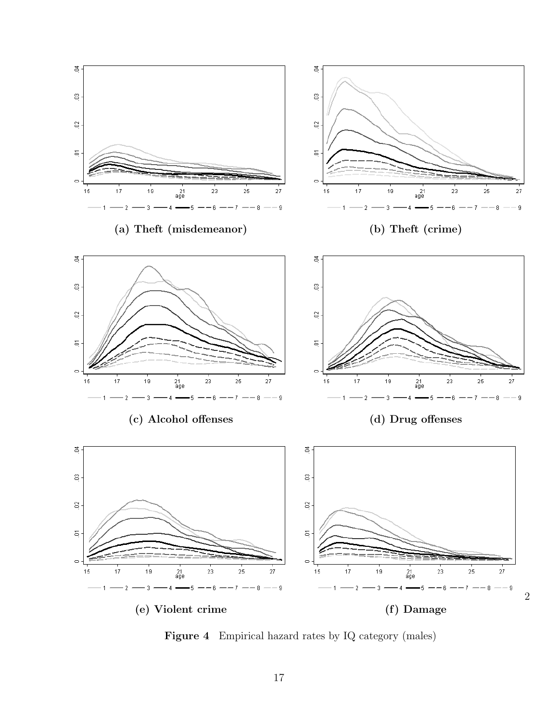

Figure 4 Empirical hazard rates by IQ category (males)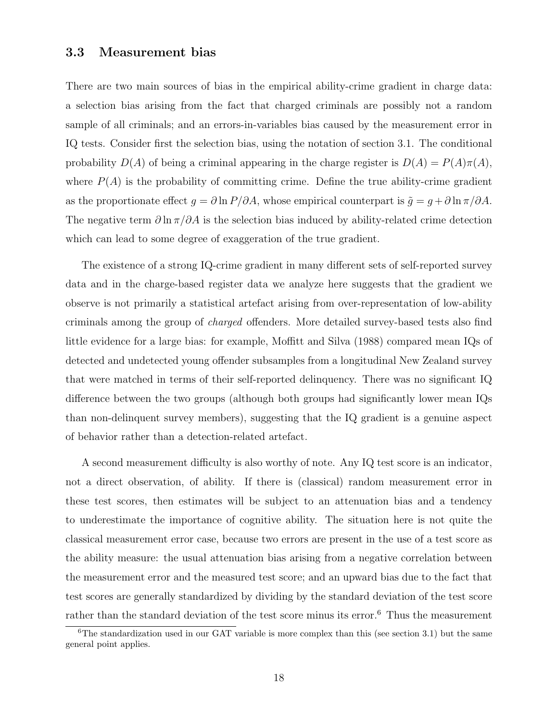#### 3.3 Measurement bias

There are two main sources of bias in the empirical ability-crime gradient in charge data: a selection bias arising from the fact that charged criminals are possibly not a random sample of all criminals; and an errors-in-variables bias caused by the measurement error in IQ tests. Consider first the selection bias, using the notation of section 3.1. The conditional probability  $D(A)$  of being a criminal appearing in the charge register is  $D(A) = P(A)\pi(A)$ , where  $P(A)$  is the probability of committing crime. Define the true ability-crime gradient as the proportionate effect  $g = \partial \ln P / \partial A$ , whose empirical counterpart is  $\tilde{g} = g + \partial \ln \pi / \partial A$ . The negative term  $\partial \ln \pi / \partial A$  is the selection bias induced by ability-related crime detection which can lead to some degree of exaggeration of the true gradient.

The existence of a strong IQ-crime gradient in many different sets of self-reported survey data and in the charge-based register data we analyze here suggests that the gradient we observe is not primarily a statistical artefact arising from over-representation of low-ability criminals among the group of charged offenders. More detailed survey-based tests also find little evidence for a large bias: for example, Moffitt and Silva (1988) compared mean IQs of detected and undetected young offender subsamples from a longitudinal New Zealand survey that were matched in terms of their self-reported delinquency. There was no significant IQ difference between the two groups (although both groups had significantly lower mean IQs than non-delinquent survey members), suggesting that the IQ gradient is a genuine aspect of behavior rather than a detection-related artefact.

A second measurement difficulty is also worthy of note. Any IQ test score is an indicator, not a direct observation, of ability. If there is (classical) random measurement error in these test scores, then estimates will be subject to an attenuation bias and a tendency to underestimate the importance of cognitive ability. The situation here is not quite the classical measurement error case, because two errors are present in the use of a test score as the ability measure: the usual attenuation bias arising from a negative correlation between the measurement error and the measured test score; and an upward bias due to the fact that test scores are generally standardized by dividing by the standard deviation of the test score rather than the standard deviation of the test score minus its error.<sup>6</sup> Thus the measurement

 $6$ The standardization used in our GAT variable is more complex than this (see section 3.1) but the same general point applies.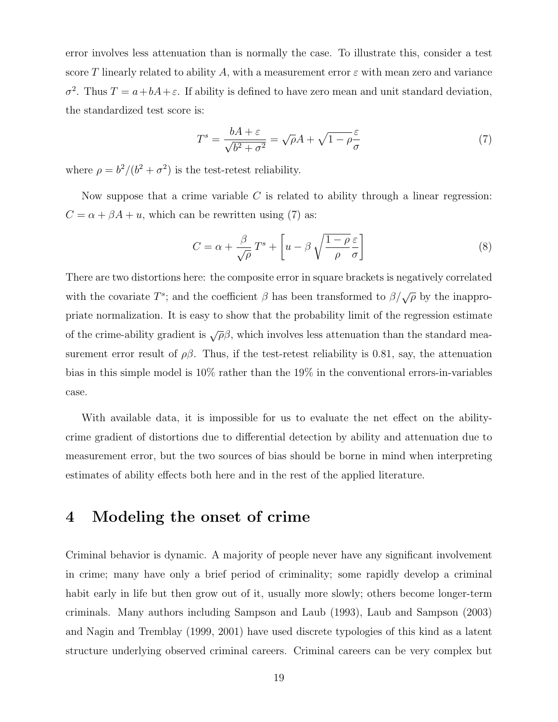error involves less attenuation than is normally the case. To illustrate this, consider a test score T linearly related to ability A, with a measurement error  $\varepsilon$  with mean zero and variance  $\sigma^2$ . Thus  $T = a + bA + \varepsilon$ . If ability is defined to have zero mean and unit standard deviation, the standardized test score is:

$$
T^{s} = \frac{bA + \varepsilon}{\sqrt{b^{2} + \sigma^{2}}} = \sqrt{\rho}A + \sqrt{1 - \rho}\frac{\varepsilon}{\sigma}
$$
\n<sup>(7)</sup>

where  $\rho = b^2/(b^2 + \sigma^2)$  is the test-retest reliability.

Now suppose that a crime variable  $C$  is related to ability through a linear regression:  $C = \alpha + \beta A + u$ , which can be rewritten using (7) as:

$$
C = \alpha + \frac{\beta}{\sqrt{\rho}} T^s + \left[ u - \beta \sqrt{\frac{1 - \rho}{\rho}} \frac{\varepsilon}{\sigma} \right]
$$
 (8)

There are two distortions here: the composite error in square brackets is negatively correlated with the covariate  $T^s$ ; and the coefficient  $\beta$  has been transformed to  $\beta/\sqrt{\rho}$  by the inappropriate normalization. It is easy to show that the probability limit of the regression estimate of the crime-ability gradient is  $\sqrt{\rho}\beta$ , which involves less attenuation than the standard measurement error result of  $\rho\beta$ . Thus, if the test-retest reliability is 0.81, say, the attenuation bias in this simple model is 10% rather than the 19% in the conventional errors-in-variables case.

With available data, it is impossible for us to evaluate the net effect on the abilitycrime gradient of distortions due to differential detection by ability and attenuation due to measurement error, but the two sources of bias should be borne in mind when interpreting estimates of ability effects both here and in the rest of the applied literature.

### 4 Modeling the onset of crime

Criminal behavior is dynamic. A majority of people never have any significant involvement in crime; many have only a brief period of criminality; some rapidly develop a criminal habit early in life but then grow out of it, usually more slowly; others become longer-term criminals. Many authors including Sampson and Laub (1993), Laub and Sampson (2003) and Nagin and Tremblay (1999, 2001) have used discrete typologies of this kind as a latent structure underlying observed criminal careers. Criminal careers can be very complex but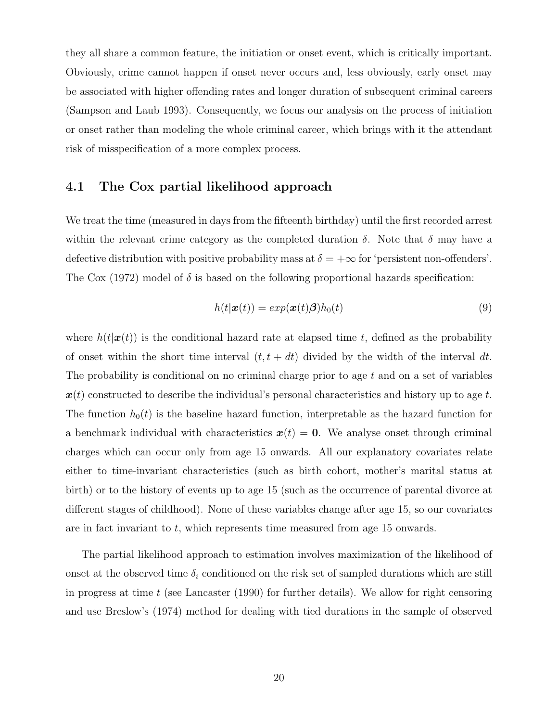they all share a common feature, the initiation or onset event, which is critically important. Obviously, crime cannot happen if onset never occurs and, less obviously, early onset may be associated with higher offending rates and longer duration of subsequent criminal careers (Sampson and Laub 1993). Consequently, we focus our analysis on the process of initiation or onset rather than modeling the whole criminal career, which brings with it the attendant risk of misspecification of a more complex process.

#### 4.1 The Cox partial likelihood approach

We treat the time (measured in days from the fifteenth birthday) until the first recorded arrest within the relevant crime category as the completed duration  $\delta$ . Note that  $\delta$  may have a defective distribution with positive probability mass at  $\delta = +\infty$  for 'persistent non-offenders'. The Cox (1972) model of  $\delta$  is based on the following proportional hazards specification:

$$
h(t|\mathbf{x}(t)) = exp(\mathbf{x}(t)\boldsymbol{\beta})h_0(t)
$$
\n(9)

where  $h(t|\mathbf{x}(t))$  is the conditional hazard rate at elapsed time t, defined as the probability of onset within the short time interval  $(t, t + dt)$  divided by the width of the interval dt. The probability is conditional on no criminal charge prior to age  $t$  and on a set of variables  $x(t)$  constructed to describe the individual's personal characteristics and history up to age t. The function  $h_0(t)$  is the baseline hazard function, interpretable as the hazard function for a benchmark individual with characteristics  $x(t) = 0$ . We analyse onset through criminal charges which can occur only from age 15 onwards. All our explanatory covariates relate either to time-invariant characteristics (such as birth cohort, mother's marital status at birth) or to the history of events up to age 15 (such as the occurrence of parental divorce at different stages of childhood). None of these variables change after age 15, so our covariates are in fact invariant to t, which represents time measured from age 15 onwards.

The partial likelihood approach to estimation involves maximization of the likelihood of onset at the observed time  $\delta_i$  conditioned on the risk set of sampled durations which are still in progress at time  $t$  (see Lancaster (1990) for further details). We allow for right censoring and use Breslow's (1974) method for dealing with tied durations in the sample of observed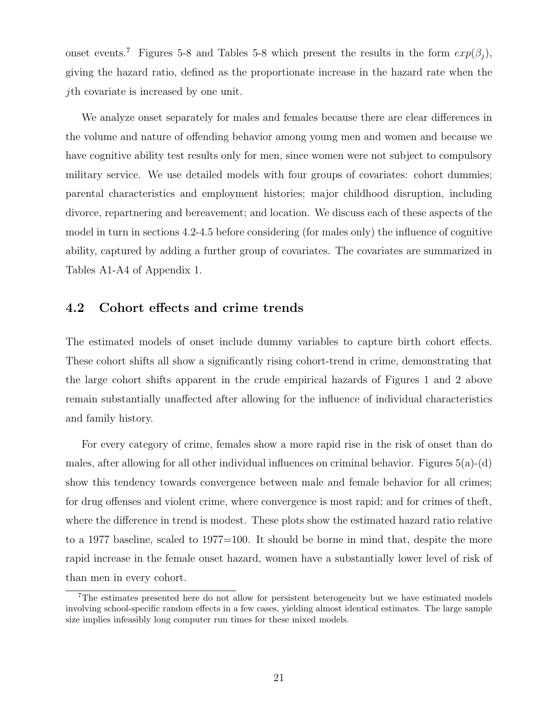onset events.<sup>7</sup> Figures 5-8 and Tables 5-8 which present the results in the form  $exp(\beta_i)$ , giving the hazard ratio, defined as the proportionate increase in the hazard rate when the jth covariate is increased by one unit.

We analyze onset separately for males and females because there are clear differences in the volume and nature of offending behavior among young men and women and because we have cognitive ability test results only for men, since women were not subject to compulsory military service. We use detailed models with four groups of covariates: cohort dummies; parental characteristics and employment histories; major childhood disruption, including divorce, repartnering and bereavement; and location. We discuss each of these aspects of the model in turn in sections 4.2-4.5 before considering (for males only) the influence of cognitive ability, captured by adding a further group of covariates. The covariates are summarized in Tables A1-A4 of Appendix 1.

#### 4.2 Cohort effects and crime trends

The estimated models of onset include dummy variables to capture birth cohort effects. These cohort shifts all show a significantly rising cohort-trend in crime, demonstrating that the large cohort shifts apparent in the crude empirical hazards of Figures 1 and 2 above remain substantially unaffected after allowing for the influence of individual characteristics and family history.

For every category of crime, females show a more rapid rise in the risk of onset than do males, after allowing for all other individual influences on criminal behavior. Figures  $5(a)-(d)$ show this tendency towards convergence between male and female behavior for all crimes; for drug offenses and violent crime, where convergence is most rapid; and for crimes of theft, where the difference in trend is modest. These plots show the estimated hazard ratio relative to a 1977 baseline, scaled to 1977=100. It should be borne in mind that, despite the more rapid increase in the female onset hazard, women have a substantially lower level of risk of than men in every cohort.

<sup>7</sup>The estimates presented here do not allow for persistent heterogeneity but we have estimated models involving school-specific random effects in a few cases, yielding almost identical estimates. The large sample size implies infeasibly long computer run times for these mixed models.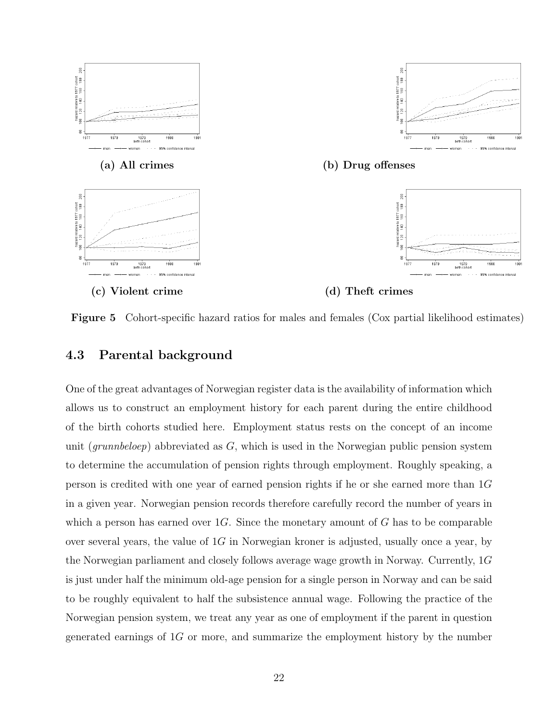







(c) Violent crime (d) Theft crimes

Figure 5 Cohort-specific hazard ratios for males and females (Cox partial likelihood estimates)

#### 4.3 Parental background

One of the great advantages of Norwegian register data is the availability of information which allows us to construct an employment history for each parent during the entire childhood of the birth cohorts studied here. Employment status rests on the concept of an income unit (grunnbeloep) abbreviated as  $G$ , which is used in the Norwegian public pension system to determine the accumulation of pension rights through employment. Roughly speaking, a person is credited with one year of earned pension rights if he or she earned more than 1G in a given year. Norwegian pension records therefore carefully record the number of years in which a person has earned over  $1G$ . Since the monetary amount of G has to be comparable over several years, the value of  $1G$  in Norwegian kroner is adjusted, usually once a year, by the Norwegian parliament and closely follows average wage growth in Norway. Currently, 1G is just under half the minimum old-age pension for a single person in Norway and can be said to be roughly equivalent to half the subsistence annual wage. Following the practice of the Norwegian pension system, we treat any year as one of employment if the parent in question generated earnings of 1G or more, and summarize the employment history by the number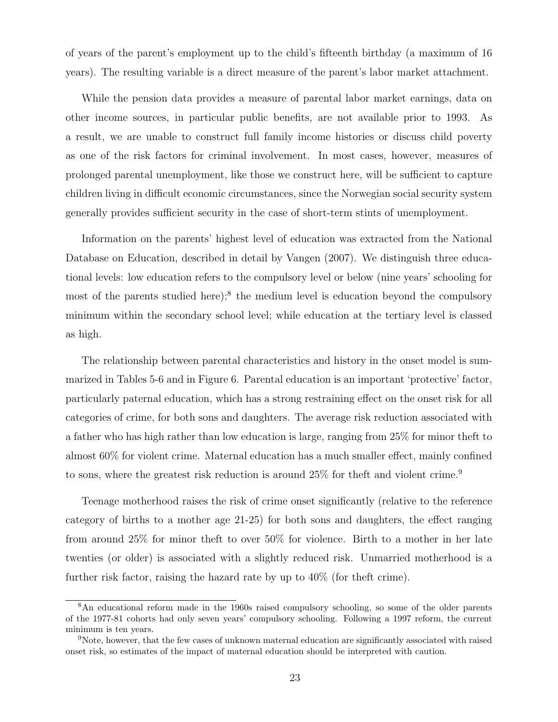of years of the parent's employment up to the child's fifteenth birthday (a maximum of 16 years). The resulting variable is a direct measure of the parent's labor market attachment.

While the pension data provides a measure of parental labor market earnings, data on other income sources, in particular public benefits, are not available prior to 1993. As a result, we are unable to construct full family income histories or discuss child poverty as one of the risk factors for criminal involvement. In most cases, however, measures of prolonged parental unemployment, like those we construct here, will be sufficient to capture children living in difficult economic circumstances, since the Norwegian social security system generally provides sufficient security in the case of short-term stints of unemployment.

Information on the parents' highest level of education was extracted from the National Database on Education, described in detail by Vangen (2007). We distinguish three educational levels: low education refers to the compulsory level or below (nine years' schooling for most of the parents studied here);<sup>8</sup> the medium level is education beyond the compulsory minimum within the secondary school level; while education at the tertiary level is classed as high.

The relationship between parental characteristics and history in the onset model is summarized in Tables 5-6 and in Figure 6. Parental education is an important 'protective' factor, particularly paternal education, which has a strong restraining effect on the onset risk for all categories of crime, for both sons and daughters. The average risk reduction associated with a father who has high rather than low education is large, ranging from 25% for minor theft to almost 60% for violent crime. Maternal education has a much smaller effect, mainly confined to sons, where the greatest risk reduction is around 25% for theft and violent crime.<sup>9</sup>

Teenage motherhood raises the risk of crime onset significantly (relative to the reference category of births to a mother age 21-25) for both sons and daughters, the effect ranging from around 25% for minor theft to over 50% for violence. Birth to a mother in her late twenties (or older) is associated with a slightly reduced risk. Unmarried motherhood is a further risk factor, raising the hazard rate by up to  $40\%$  (for the ft crime).

<sup>&</sup>lt;sup>8</sup>An educational reform made in the 1960s raised compulsory schooling, so some of the older parents of the 1977-81 cohorts had only seven years' compulsory schooling. Following a 1997 reform, the current minimum is ten years.

<sup>9</sup>Note, however, that the few cases of unknown maternal education are significantly associated with raised onset risk, so estimates of the impact of maternal education should be interpreted with caution.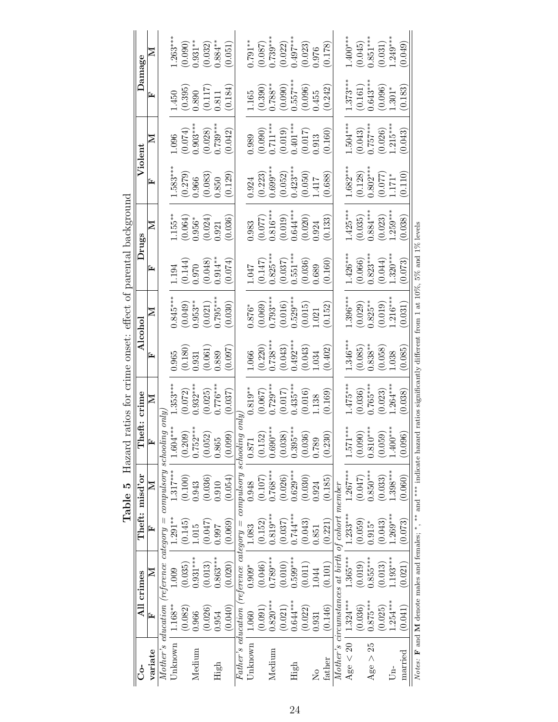| $1.400***$<br>$(0.045)$<br>0.851***<br>$.249***$<br>$\begin{array}{c} (0.087) \\ 0.739^{***} \\ (0.022) \\ 0.497^{***} \end{array}$<br>(0.049)<br>(0.031)<br>(0.023)<br>(0.178)<br>0.976<br>$(0.161)$<br>$0.643***$<br>$1.373***$<br>$\begin{array}{c} (0.390) \\ 0.788^{**} \\ (0.090) \\ (0.557^{***} \end{array}$<br>(0.183)<br>(0.096)<br>(0.242)<br>(0.096)<br>$1.301*$<br>1.455<br>$1.504***$<br>(0.043)<br>0.757***<br>$\begin{array}{c} (0.090) \\ 0.711*** \\ (0.019) \\ (0.019) \\ \end{array}$<br>$(0.026)$<br>1.215***<br>(0.160)<br>(0.043)<br>$\left( 0.017\right)$ $0.913$<br>$1.682***$<br>$(0.128)$<br>$0.802***$<br>$\begin{array}{c} (0.223) \\ 0.699^{***} \\ (0.052) \\ 0.423^{***} \end{array}$<br>(0.110)<br>(0.050)<br>(0.688)<br>$\frac{(0.077)}{1.171*}$<br>1.417<br>$1.425***$<br>$(0.035)$<br>0.884***<br>$\begin{array}{c} (0.077) \\ 0.816^{***} \\ (0.019) \\ (0.019) \\ \end{array}$<br>$1.259***$<br>$(0.020)$<br>0.924<br>(0.023)<br>(0.133)<br>(0.038)<br>$(0.066)$<br>$0.823***$<br>$\begin{array}{c} (0.147) \\ 0.825^{***} \\ (0.037) \\ 0.551^{***} \end{array}$<br>$1.426***$<br>$1.320***$<br>(0.044)<br>$(0.036)$<br>$0.689$<br>(0.073)<br>(0.160)<br>$1.396***$<br>$.216***$<br>$(0.069)$<br>0.793***<br>(0.016)<br>0.529***<br>$(0.029)$<br>$0.825***$<br>(0.019)<br>(0.152)<br>(0.031)<br>(0.015)<br>1.021<br>$(0.220)$<br>0.738***<br>$(0.043)$<br>0.492***<br>$1.346***$<br>$(0.085)$<br>$0.838**$<br>(0.402)<br>(0.043)<br>(0.058)<br>(0.085)<br>.038<br>1.034<br>$1.475***$<br>$0.765***$<br>$0.435***$<br>$.264***$<br>$0.729***$<br>(0.017)<br>(0.169)<br>(0.038)<br>(0.067)<br>(0.036)<br>(0.023)<br>(0.016)<br>.138<br>$1.571***$<br>$0.810***$<br>$1.400***$<br>$0.690***$<br>$(0.038)$<br>0.395***<br>(0.090)<br>(0.059)<br>(0.096)<br>(0.152)<br>(0.036)<br>(0.230)<br>0.789<br>$1.267***$<br>$0.850***$<br>$0.768***$<br>$0.629***$<br>$-.398***$<br>(0.026)<br>(0.047)<br>(0.030)<br>(0.060)<br>(0.107)<br>(0.185)<br>(0.033)<br>0.924<br>Mother's circumstances at birth of cohort member<br>$0.744***$<br>$0.819***$<br>$.269***$<br>$1.233***$<br>(0.059)<br>(0.037)<br>(0.043)<br>(0.221)<br>(0.073)<br>(0.043)<br>(0.152)<br>$0.915*$<br>1.851 |
|---------------------------------------------------------------------------------------------------------------------------------------------------------------------------------------------------------------------------------------------------------------------------------------------------------------------------------------------------------------------------------------------------------------------------------------------------------------------------------------------------------------------------------------------------------------------------------------------------------------------------------------------------------------------------------------------------------------------------------------------------------------------------------------------------------------------------------------------------------------------------------------------------------------------------------------------------------------------------------------------------------------------------------------------------------------------------------------------------------------------------------------------------------------------------------------------------------------------------------------------------------------------------------------------------------------------------------------------------------------------------------------------------------------------------------------------------------------------------------------------------------------------------------------------------------------------------------------------------------------------------------------------------------------------------------------------------------------------------------------------------------------------------------------------------------------------------------------------------------------------------------------------------------------------------------------------------------------------------------------------------------------------------------------------------------------------------------------------------------------------------------------------------------------------------------------------------------------|
|                                                                                                                                                                                                                                                                                                                                                                                                                                                                                                                                                                                                                                                                                                                                                                                                                                                                                                                                                                                                                                                                                                                                                                                                                                                                                                                                                                                                                                                                                                                                                                                                                                                                                                                                                                                                                                                                                                                                                                                                                                                                                                                                                                                                               |
|                                                                                                                                                                                                                                                                                                                                                                                                                                                                                                                                                                                                                                                                                                                                                                                                                                                                                                                                                                                                                                                                                                                                                                                                                                                                                                                                                                                                                                                                                                                                                                                                                                                                                                                                                                                                                                                                                                                                                                                                                                                                                                                                                                                                               |

Table 5 Hazard ratios for crime onset: effect of parental background **Table 5** Hazard ratios for crime onset: effect of parental background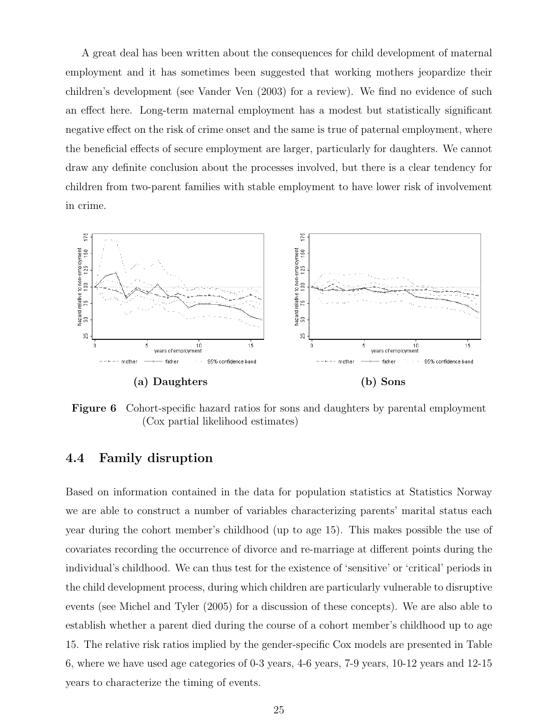A great deal has been written about the consequences for child development of maternal employment and it has sometimes been suggested that working mothers jeopardize their children's development (see Vander Ven (2003) for a review). We find no evidence of such an effect here. Long-term maternal employment has a modest but statistically significant negative effect on the risk of crime onset and the same is true of paternal employment, where the beneficial effects of secure employment are larger, particularly for daughters. We cannot draw any definite conclusion about the processes involved, but there is a clear tendency for children from two-parent families with stable employment to have lower risk of involvement in crime.



Figure 6 Cohort-specific hazard ratios for sons and daughters by parental employment (Cox partial likelihood estimates)

#### 4.4 Family disruption

Based on information contained in the data for population statistics at Statistics Norway we are able to construct a number of variables characterizing parents' marital status each year during the cohort member's childhood (up to age 15). This makes possible the use of covariates recording the occurrence of divorce and re-marriage at different points during the individual's childhood. We can thus test for the existence of 'sensitive' or 'critical' periods in the child development process, during which children are particularly vulnerable to disruptive events (see Michel and Tyler (2005) for a discussion of these concepts). We are also able to establish whether a parent died during the course of a cohort member's childhood up to age 15. The relative risk ratios implied by the gender-specific Cox models are presented in Table 6, where we have used age categories of 0-3 years, 4-6 years, 7-9 years, 10-12 years and 12-15 years to characterize the timing of events.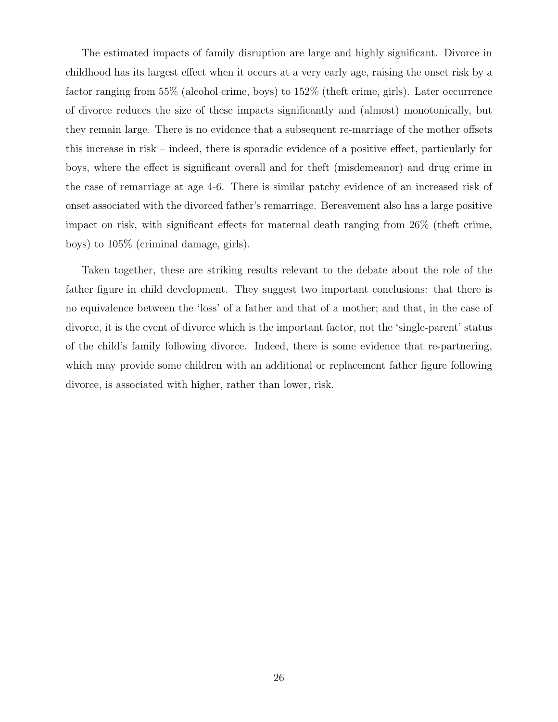The estimated impacts of family disruption are large and highly significant. Divorce in childhood has its largest effect when it occurs at a very early age, raising the onset risk by a factor ranging from 55% (alcohol crime, boys) to 152% (theft crime, girls). Later occurrence of divorce reduces the size of these impacts significantly and (almost) monotonically, but they remain large. There is no evidence that a subsequent re-marriage of the mother offsets this increase in risk – indeed, there is sporadic evidence of a positive effect, particularly for boys, where the effect is significant overall and for theft (misdemeanor) and drug crime in the case of remarriage at age 4-6. There is similar patchy evidence of an increased risk of onset associated with the divorced father's remarriage. Bereavement also has a large positive impact on risk, with significant effects for maternal death ranging from 26% (theft crime, boys) to 105% (criminal damage, girls).

Taken together, these are striking results relevant to the debate about the role of the father figure in child development. They suggest two important conclusions: that there is no equivalence between the 'loss' of a father and that of a mother; and that, in the case of divorce, it is the event of divorce which is the important factor, not the 'single-parent' status of the child's family following divorce. Indeed, there is some evidence that re-partnering, which may provide some children with an additional or replacement father figure following divorce, is associated with higher, rather than lower, risk.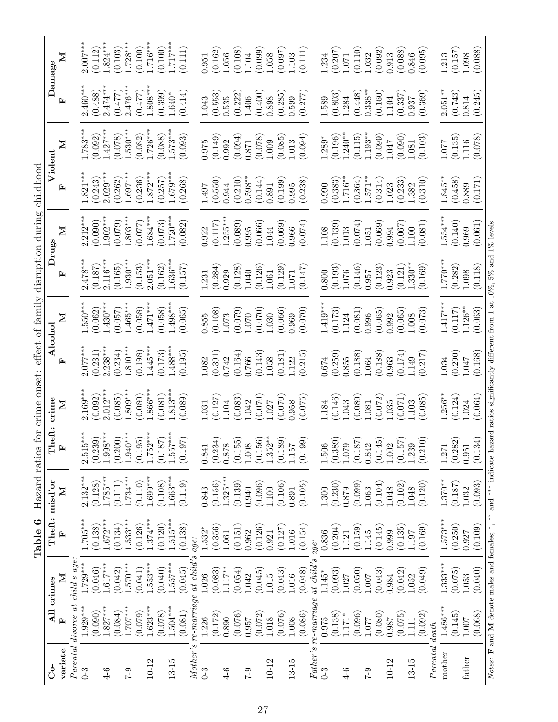| $\mathbf{\Sigma}% _{H}^{X\text{}}(\theta)=\mathbf{\Sigma}_{H}^{X\text{}}(\theta)$<br>Damage<br>Z<br>Violent | $2.007***$<br>$2.460***$          | (0.112)<br>(0.488)    |                    | $.824***$<br>(0.103)<br>$2.474***$<br>(0.477)<br>$1.427**$<br>(0.078) | $1.728***$<br>$2.476***$<br>$1.530***$ | $1.716***$<br>(0.100)<br>(0.477)<br>$.726***$<br>(0.082) | (0.100)<br>$1.808***$<br>(0.399)<br>(0.088) | $1.717***$<br>$1.640*$<br>$1.573***$ | (0.111)<br>(0.414)<br>(0.093) |                                          | (0.162)<br>1.951<br>(0.553)<br>1.043<br>(0.149)<br>1.975 | 1.056<br>0.535<br>0.992 | (0.108)<br>(0.222)<br>(0.094) | 1.104<br>1.406<br>0.871                                             | (0.099)<br>(0.400)<br>(0.078) | 0.058<br>0.898<br>1.009      | (0.097)<br>1.103<br>(0.285)<br>0.599<br>(0.085)<br>1.013 | (0.111)<br>(0.277)<br>(560.0)                              |                      | 1.234<br>1.589<br>1.289* | (0.207)<br>(0.803)<br>(0.196) | 1.071<br>1.284<br>$1.240**$ | (0.110)<br>(0.448)<br>(0.115) | (0.092)<br>1.032<br>$0.338***$<br>(0.160)<br>$1.193***$<br>(0.099) | 0.913<br>1.104<br>140.1 | (0.088)<br>(0.337)<br>(0.090) | 0.846<br>0.937<br>1.081                                                                                     | (0.095)<br>(0.369)<br>(0.103) |                | 1.213<br>$2.051***$<br>1.077 | (0.157)<br>1.098<br>(0.743)<br>0.814<br>(0.135)<br>1.116 |
|-------------------------------------------------------------------------------------------------------------|-----------------------------------|-----------------------|--------------------|-----------------------------------------------------------------------|----------------------------------------|----------------------------------------------------------|---------------------------------------------|--------------------------------------|-------------------------------|------------------------------------------|----------------------------------------------------------|-------------------------|-------------------------------|---------------------------------------------------------------------|-------------------------------|------------------------------|----------------------------------------------------------|------------------------------------------------------------|----------------------|--------------------------|-------------------------------|-----------------------------|-------------------------------|--------------------------------------------------------------------|-------------------------|-------------------------------|-------------------------------------------------------------------------------------------------------------|-------------------------------|----------------|------------------------------|----------------------------------------------------------|
| $1.783***$<br>$1.821***$                                                                                    |                                   | (0.092)<br>(0.243)    |                    |                                                                       | $1.697***$                             | $.872***$<br>(0.236)                                     | (0.257)                                     | $1.679***$                           | (0.268)                       |                                          | (0.550)<br>1.497                                         | 0.944                   | (0.210)                       | $0.598***$                                                          | (0.144)                       | 0.891                        | (0.199)<br>0.995                                         | (0.238)                                                    |                      | 0.990                    | (0.383)                       | $1.716**$                   | (0.364)                       | $1.571**$                                                          | (0.314)<br>1.023        | (0.233)                       | 1.382                                                                                                       | (0.310)                       |                | $1.845***$                   | (0.458)<br>0.889                                         |
| $2.029***$<br>$2.212***$<br>$1.902**$<br>(0.090)                                                            |                                   |                       | (0.262)<br>(0.079) | $1.803***$<br>(0.077)                                                 |                                        |                                                          | $-.684***$<br>(0.073)                       | $1.720***$                           | (0.082)                       |                                          | (0.117)<br>0.922                                         | $1.255***$              | (0.089)                       | 0.995                                                               | (0.066)                       | 1.044                        | (0.069)<br>0.966                                         | (6.074)                                                    |                      | 1.108                    | (0.139)                       | 1.013                       | (0.074)                       | 1.051                                                              | (0.069)<br>0.994        | (0.067)                       | 1.100                                                                                                       | (0.081)                       |                | $1.554***$                   | (0.140)<br>0.969                                         |
| $2.478***$<br>$2.116***$<br>(0.165)<br>(0.187)                                                              |                                   |                       |                    | $1.930***$<br>(0.153)                                                 | $2.051***$                             |                                                          | (0.162)                                     | $1.636***$                           | (0.157)                       |                                          | (0.284)<br>1.231                                         | 0.929                   | (0.128)                       | 1.040                                                               | (0.126)                       | 1.061                        | (0.129)<br>1.071                                         | (0.147)                                                    |                      | 0.800                    | (0.193)                       | 1.076                       | (0.146)                       | (0.123)<br>0.957                                                   | 0.923                   | (0.121)                       | $1.330***$                                                                                                  | (0.169)                       |                | $1.770**$                    | (0.282)<br>1.098                                         |
| $.550***$<br>$-430**$<br>(0.062)<br>(0.057)                                                                 |                                   |                       |                    | $1.465***$<br>(0.058)                                                 | $471***$                               | (0.058)                                                  |                                             | $1.498***$                           | (0.065)                       |                                          | (0.108)<br>1.855                                         | 1.073                   | (0.079)                       | 1.070                                                               | (0.070)                       | 1.030                        | (0.066)<br>0.969                                         | (0.070)                                                    |                      | $1.419**$                | (0.173)                       | 1.124                       | (0.081)                       | (0.065)<br>0.996                                                   | 0.992                   | (0.065)                       | 1.008                                                                                                       | (0.073)                       |                | $1.417***$                   | $1.126***$<br>(0.117)                                    |
| $2.077***$<br>$2.238***$<br>(0.231)                                                                         |                                   |                       | (0.234)            | $1.810***$<br>(0.198)                                                 | $1.445***$                             | (0.173)                                                  | $.488***$                                   |                                      | (0.195)                       |                                          | (0.391)<br>1.082                                         | 0.742                   | (0.164)                       | 0.766                                                               | (0.143)                       | 1.058                        | (0.181)<br>1.22                                          | (0.215)                                                    |                      | 0.674                    | (0.259)                       | 0.855                       | (0.188)                       | 1.064                                                              | (0.188)<br>0.963        | (0.174)                       | 1.149                                                                                                       | (0.217)                       |                | 1.034                        | (0.290)<br>1.047                                         |
| $2.169***$<br>(0.092)                                                                                       |                                   | $2.012***$            | (0.085)            | $1.809***$<br>(0.080)                                                 | $0.866***$                             | (0.081)                                                  |                                             | $1.813***$                           | (0.089)                       |                                          | (0.127)<br>1.031                                         | 104                     | (0.083)                       | .042                                                                | (0.070)                       | 1.027                        | (0.070)<br>0.958                                         | (0.075)                                                    |                      | .184                     | (0.146)                       | .043                        | (0.080)                       | (0.072)<br>.081                                                    | .035                    | (0.071)                       | 1.03                                                                                                        | (0.085)                       |                | $1.256***$                   | (0.124)<br>1.024                                         |
| $2.515***$                                                                                                  |                                   | $(0.239)$<br>1.998*** | (0.200)            | $1.940***$                                                            | $\left(0.195\right)$ 1.752***          | $(0.187)$<br>1.557***                                    |                                             |                                      | (0.197)                       | 0.841                                    |                                                          |                         |                               | $\begin{array}{c} (0.234) \\ 0.878 \\ (0.155) \\ 1.008 \end{array}$ |                               | $(0.156)$ $1.352^{\ast\ast}$ |                                                          | $\begin{array}{c} (0.189) \\ 1.157 \\ (0.199) \end{array}$ |                      | 1.506                    |                               |                             |                               |                                                                    |                         |                               | $\begin{array}{c} (0.389) \\ 1.079 \\ (0.187) \\ 0.842 \\ (0.145) \\ 1.002 \\ (0.157) \\ 1.239 \end{array}$ | (0.210)                       |                | 1.271                        | $\left( 0.282\right)$<br>0.951                           |
| $2.132***$                                                                                                  |                                   | $1.785***$<br>(0.128) | (0.111)            | $1.734***$<br>(0.110)                                                 | $1.699***$                             | (0.108)                                                  | $1.663***$                                  |                                      | (0.119)                       | 0.843                                    | (0.156)                                                  | $1.325***$              | (0.139)                       | 0.940                                                               | (0.096)                       | 1.100                        | (0.106)                                                  | (0.105)<br>$\!0.891$                                       |                      | 1.300                    | (0.230)                       | 0.879                       | (0.099)                       | 1.063                                                              | (0.104)<br>1.048        | (0.102)                       | 1.048                                                                                                       | (0.120)                       |                | $1.370**$                    | (0.187)<br>1.032                                         |
| $-.705***$                                                                                                  |                                   | $1.672***$<br>(0.138) | (0.134)            | $1.533***$<br>(0.126)                                                 | $1.374***$                             | (0.120)                                                  | $1.515***$                                  |                                      | (0.138)                       | age:                                     | (0.356)<br>$1.532*$                                      | 1.061                   | (0.151)                       | 0.962                                                               | (0.126)                       | 0.921                        | (0.127)<br>1.016                                         | (0.154)                                                    | age:                 | 0.836                    | (0.204)                       | 1121                        | (0.159)                       | (0.145)<br>145                                                     | 0.999                   | (0.135)                       | 1.197                                                                                                       | (0.169)                       |                | $1.573***$                   | (0.250)<br>0.927                                         |
| child's age                                                                                                 | $1.729***$                        | $-617***$<br>(0.046)  | (0.042)            | $-570***$<br>(0.041)                                                  | $1.553***$                             | (0.040)                                                  | $.557***$                                   |                                      | (0.045)                       | Mother's re-marriage at child's<br>1.026 | (0.083)                                                  | $1.117**$               | (0.054)                       | 1.042                                                               | (0.045)                       | 1.015                        | (0.043)<br>1.016                                         | (0.048)                                                    | $at$ child's         | 1.145*                   | (0.093)                       | 1.027                       | (0.050)                       | (0.043)<br>1.007                                                   | 0.984                   | (0.042)                       | 1.052                                                                                                       | (0.049)                       |                | $1.333***$                   | (0.075)<br>1.053                                         |
|                                                                                                             | Parental divorce at<br>$1.929***$ | $1.827***$<br>(0.090) | (0.084)            | $1.707***$<br>(0.079)                                                 | $1.623***$                             | (0.078)                                                  | $.504***$                                   |                                      | (0.081)                       | 1.226                                    | (0.172)                                                  | 0.890                   | (0.076)                       | 0.957                                                               | (0.072)                       | 1.018                        | (0.076)<br>1.008                                         | (0.086)                                                    | Father's re-marriage | 0.975                    | (0.138)                       | $1.171*$                    | (0.096)                       | (0.080)<br>1.077                                                   | 0.987                   | (0.075)                       | 111                                                                                                         | (0.092)                       |                | $1.486***$                   | (0.145)<br>1.007                                         |
| variate                                                                                                     | $0 - 3$                           | $4-6$                 |                    | $6 - 2$                                                               | $10 - 12$                              |                                                          | 13-15                                       |                                      |                               | $0 - 3$                                  |                                                          | $4-6$                   |                               | $6 - 2$                                                             |                               | $10 - 12$                    | 13-15                                                    |                                                            |                      | $0 - 3$                  |                               | $4-6$                       |                               | $6 - 2$                                                            | $10 - 12$               |                               | 13-15                                                                                                       |                               | Parental death | mother                       | $\operatorname{father}$                                  |

Table 6 Hazard ratios for crime onset: effect of family disruption during childhood **Table 6** Hazard ratios for crime onset: effect of family disruption during childhood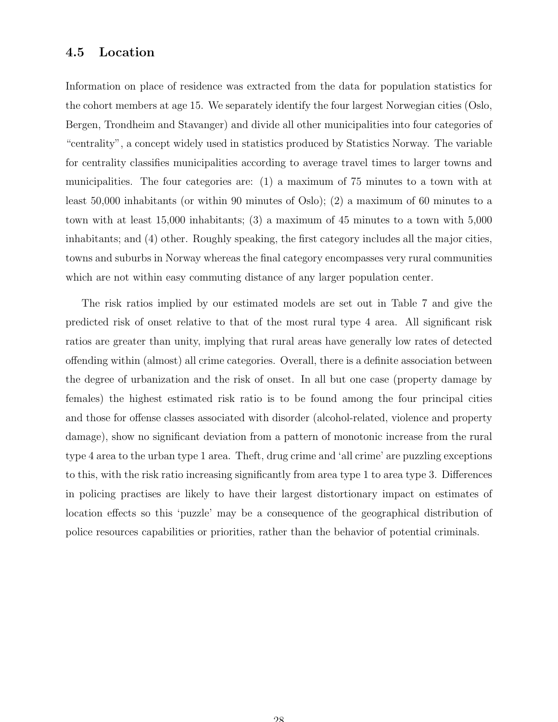#### 4.5 Location

Information on place of residence was extracted from the data for population statistics for the cohort members at age 15. We separately identify the four largest Norwegian cities (Oslo, Bergen, Trondheim and Stavanger) and divide all other municipalities into four categories of "centrality", a concept widely used in statistics produced by Statistics Norway. The variable for centrality classifies municipalities according to average travel times to larger towns and municipalities. The four categories are: (1) a maximum of 75 minutes to a town with at least 50,000 inhabitants (or within 90 minutes of Oslo); (2) a maximum of 60 minutes to a town with at least 15,000 inhabitants; (3) a maximum of 45 minutes to a town with 5,000 inhabitants; and (4) other. Roughly speaking, the first category includes all the major cities, towns and suburbs in Norway whereas the final category encompasses very rural communities which are not within easy commuting distance of any larger population center.

The risk ratios implied by our estimated models are set out in Table 7 and give the predicted risk of onset relative to that of the most rural type 4 area. All significant risk ratios are greater than unity, implying that rural areas have generally low rates of detected offending within (almost) all crime categories. Overall, there is a definite association between the degree of urbanization and the risk of onset. In all but one case (property damage by females) the highest estimated risk ratio is to be found among the four principal cities and those for offense classes associated with disorder (alcohol-related, violence and property damage), show no significant deviation from a pattern of monotonic increase from the rural type 4 area to the urban type 1 area. Theft, drug crime and 'all crime' are puzzling exceptions to this, with the risk ratio increasing significantly from area type 1 to area type 3. Differences in policing practises are likely to have their largest distortionary impact on estimates of location effects so this 'puzzle' may be a consequence of the geographical distribution of police resources capabilities or priorities, rather than the behavior of potential criminals.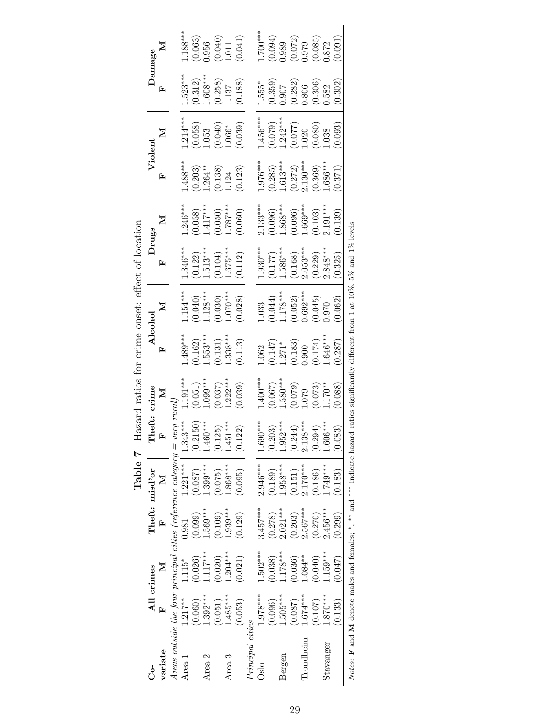|                   |              | All crimes |             | Theft: misd'or                                                                    | Theft: crime |                  |                                                                       | Alcohol                                      |                                            | Drugs                   |                                   | Violent                                        |                                                 | Damage                                                                                                 |
|-------------------|--------------|------------|-------------|-----------------------------------------------------------------------------------|--------------|------------------|-----------------------------------------------------------------------|----------------------------------------------|--------------------------------------------|-------------------------|-----------------------------------|------------------------------------------------|-------------------------------------------------|--------------------------------------------------------------------------------------------------------|
| variate           | E            | $\geq$     | r,          | $\mathbb{Z}$                                                                      | Ĺ.           | Σ                | ┗                                                                     | ⋝                                            | ┗                                          | ⋝                       | ᄄ                                 | ⊠                                              | ⋤                                               | ⋝                                                                                                      |
|                   |              |            |             | Areas outside the four principal cities (reference category $=$ ver               | puna h       |                  |                                                                       |                                              |                                            |                         |                                   |                                                |                                                 |                                                                                                        |
| Area 1            | $1.217**$    | $.115*$    | 0.981       | $1.221***$                                                                        | $1.343***$   | $.191***$        | $.489***$                                                             | $.154***$                                    | $1.346***$                                 | $.246***$               | $.488***$                         | $1.214***$                                     | $.523***$                                       | $.188***$                                                                                              |
|                   | (0.060)      | 0.026      | $(660 \ 0)$ | (0.087)                                                                           | (0.2150)     | 0.051)           | (0.162)                                                               | (0.040)                                      | (0.122)                                    | (0.058)                 | (0.203)                           | $\begin{array}{c} 0.058 \\ -0.053 \end{array}$ |                                                 |                                                                                                        |
| Area <sub>2</sub> | $.392***$    | $.117***$  | $.569***$   | $.399***$                                                                         | $-460***$    | $.099***$        | $1.553***$                                                            | $1.128***$                                   |                                            | $1.417***$              | $1.264***$                        |                                                |                                                 |                                                                                                        |
|                   | (0.051)      | (0.020)    | (0.109)     | (670.075)                                                                         | (0.125)      | 0.037)           | 0.131)                                                                | (0.030)                                      |                                            | $(0.050)$<br>$1.787***$ | $(0.138)$<br>$(124)$              |                                                | $(0.312)$<br>1.608***<br>(0.258)<br>1.137       | $\begin{array}{c} (0.063) \ 0.956 \ (0.040) \ 0.011 \end{array}$                                       |
| Area <sub>3</sub> | $1.485***$   | $.204***$  | $0.939***$  | $868***$                                                                          | $.451***$    | $.222***$        | $1.338***$                                                            | $1.070***$                                   |                                            |                         |                                   | (0.040)                                        |                                                 |                                                                                                        |
|                   | (0.053)      | (0.021)    | (0.129)     | (0.095)                                                                           | (0.122)      | (0.039)          | (0.113)                                                               | (0.028)                                      | 1.513***<br>(0.104)<br>1.675***<br>(0.112) | (0.060)                 | (0.123)                           | (0.039)                                        | (0.188)                                         | (0.041)                                                                                                |
| Principal cities  |              |            |             |                                                                                   |              |                  |                                                                       |                                              |                                            |                         |                                   |                                                |                                                 |                                                                                                        |
| Oslo              | $1.978***$   | $.502***$  | $3.457***$  | $2.946***$                                                                        | $1.690***$   | $-400**$         | .062                                                                  | .033                                         | $1.930***$                                 | $2.133***$              | $.976***$                         | .456***                                        | $1.555*$                                        | $-700$ ***                                                                                             |
|                   | (0.096)      | (0.038)    | (0.278)     | (0.189)                                                                           | (0.203)      | (0.067)          |                                                                       |                                              | $(0.177)$<br>1.586***                      | $(0.096)$<br>1.868***   | (0.285)                           | (0.079)                                        |                                                 |                                                                                                        |
| Bergen            | $.505***$    | $.178***$  | $2.021***$  | $0.958***$                                                                        | $-952***$    | $1.580***$       |                                                                       |                                              |                                            |                         |                                   | $1.242***$                                     | $(0.359)$<br>$0.907$                            |                                                                                                        |
|                   | (0.087)      | (0.036)    | (0.203)     | (0.151)                                                                           | (0.244)      |                  | $\begin{array}{l} (0.147) \\ 1.271^* \\ (0.183) \\ 0.900 \end{array}$ | $(0.044)$<br>1.178***<br>(0.052)<br>0.692*** | $(0.168)$<br>2.053***                      | $(0.096)$<br>$1.669***$ | $1.613***$<br>(0.272)<br>2.130*** | $(0.077)$<br>1.020                             |                                                 |                                                                                                        |
| Trondheim         | $0.674***$   | $.084**$   | $0.567***$  | $.170***$                                                                         | $2.138***$   |                  |                                                                       |                                              |                                            |                         |                                   |                                                | $\begin{array}{c} (0.282) \\ 0.806 \end{array}$ |                                                                                                        |
|                   | (0.107)      | (0.040)    | (0.270)     | (0.186)                                                                           | (0.294)      | $0.073$<br>170** | $^{(0.174)}_{1.646***}$                                               | $(0.045)$<br>$0.970$                         | $(0.229)$<br>$2.848***$                    | $(0.103)$<br>2.191***   | $(0.369)$<br>1.686***             | 0.080)                                         | $(0.306)$<br>$0.582$                            | $\begin{array}{c} (0.094) \\ (0.099) \\ (0.072) \\ (0.072) \\ 0.979 \\ (0.085) \\ (0.085) \end{array}$ |
| Stavanger         | $-870^{***}$ | $.159***$  | $2.456***$  | $.749***$                                                                         | $-.606**$    |                  |                                                                       |                                              |                                            |                         |                                   | .038                                           |                                                 |                                                                                                        |
|                   | (0.133)      | (0.047)    | (0.299)     | (0.183)                                                                           | (0.083)      | 0.088            | (0.287)                                                               | (0.062)                                      | (0.325)                                    | (0.139)                 | (0.371)                           | 0.093)                                         | (0.302)                                         | 0.091                                                                                                  |
|                   |              |            |             | Notes: <b>F</b> and M denote males and females; $*$ , $*$ and $*$ indicate hazard |              |                  | ratios significantly different from 1 at 10%, 5% and 1% levels        |                                              |                                            |                         |                                   |                                                |                                                 |                                                                                                        |

Table 7 Hazard ratios for crime onset: effect of location **Table 7** Hazard ratios for crime onset: effect of location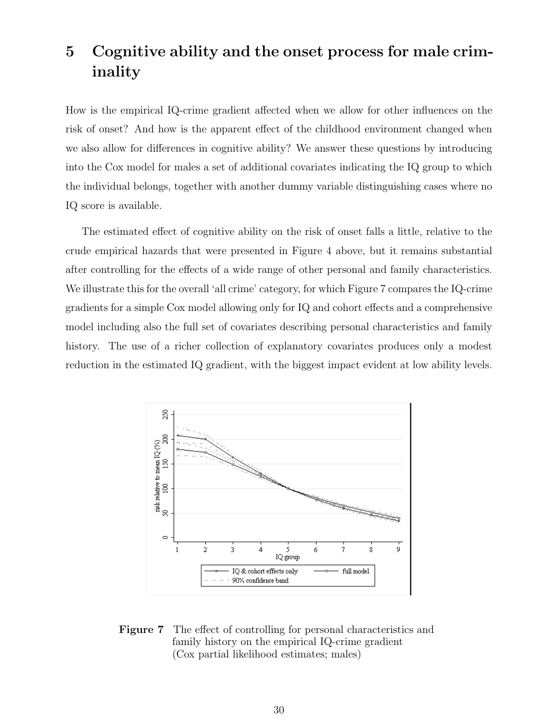### 5 Cognitive ability and the onset process for male criminality

How is the empirical IQ-crime gradient affected when we allow for other influences on the risk of onset? And how is the apparent effect of the childhood environment changed when we also allow for differences in cognitive ability? We answer these questions by introducing into the Cox model for males a set of additional covariates indicating the IQ group to which the individual belongs, together with another dummy variable distinguishing cases where no IQ score is available.

The estimated effect of cognitive ability on the risk of onset falls a little, relative to the crude empirical hazards that were presented in Figure 4 above, but it remains substantial after controlling for the effects of a wide range of other personal and family characteristics. We illustrate this for the overall 'all crime' category, for which Figure 7 compares the IQ-crime gradients for a simple Cox model allowing only for IQ and cohort effects and a comprehensive model including also the full set of covariates describing personal characteristics and family history. The use of a richer collection of explanatory covariates produces only a modest reduction in the estimated IQ gradient, with the biggest impact evident at low ability levels.



Figure 7 The effect of controlling for personal characteristics and family history on the empirical IQ-crime gradient (Cox partial likelihood estimates; males)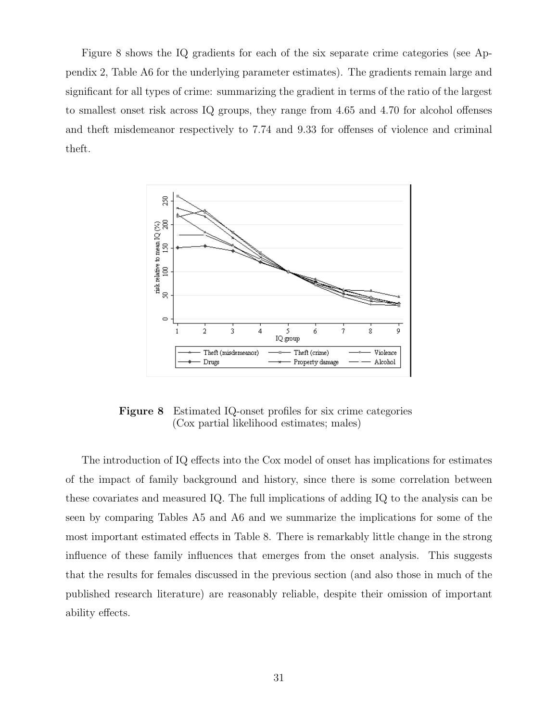Figure 8 shows the IQ gradients for each of the six separate crime categories (see Appendix 2, Table A6 for the underlying parameter estimates). The gradients remain large and significant for all types of crime: summarizing the gradient in terms of the ratio of the largest to smallest onset risk across IQ groups, they range from 4.65 and 4.70 for alcohol offenses and theft misdemeanor respectively to 7.74 and 9.33 for offenses of violence and criminal theft.



Figure 8 Estimated IQ-onset profiles for six crime categories (Cox partial likelihood estimates; males)

The introduction of IQ effects into the Cox model of onset has implications for estimates of the impact of family background and history, since there is some correlation between these covariates and measured IQ. The full implications of adding IQ to the analysis can be seen by comparing Tables A5 and A6 and we summarize the implications for some of the most important estimated effects in Table 8. There is remarkably little change in the strong influence of these family influences that emerges from the onset analysis. This suggests that the results for females discussed in the previous section (and also those in much of the published research literature) are reasonably reliable, despite their omission of important ability effects.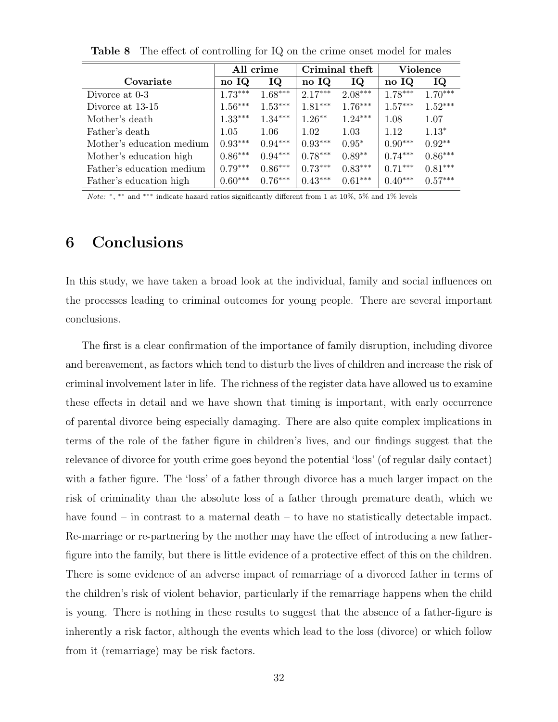|                           | All crime |           | Criminal theft |           | Violence  |           |
|---------------------------|-----------|-----------|----------------|-----------|-----------|-----------|
| Covariate                 | no IQ     | IQ        | no IQ          | IQ        | no IQ     | IQ        |
| Divorce at 0-3            | $1.73***$ | $1.68***$ | $2.17***$      | $2.08***$ | $1.78***$ | $1.70***$ |
| Divorce at 13-15          | $1.56***$ | $1.53***$ | $1.81***$      | $1.76***$ | $1.57***$ | $1.52***$ |
| Mother's death            | $1.33***$ | $1.34***$ | $1.26**$       | $1.24***$ | 1.08      | 1.07      |
| Father's death            | 1.05      | 1.06      | 1.02           | 1.03      | 1.12      | $1.13*$   |
| Mother's education medium | $0.93***$ | $0.94***$ | $0.93***$      | $0.95*$   | $0.90***$ | $0.92**$  |
| Mother's education high   | $0.86***$ | $0.94***$ | $0.78***$      | $0.89**$  | $0.74***$ | $0.86***$ |
| Father's education medium | $0.79***$ | $0.86***$ | $0.73***$      | $0.83***$ | $0.71***$ | $0.81***$ |
| Father's education high   | $0.60***$ | $0.76***$ | $0.43***$      | $0.61***$ | $0.40***$ | $0.57***$ |

Table 8 The effect of controlling for IQ on the crime onset model for males

Note: \*, \*\* and \*\*\* indicate hazard ratios significantly different from 1 at 10%, 5% and 1% levels

### 6 Conclusions

 $\equiv$ 

In this study, we have taken a broad look at the individual, family and social influences on the processes leading to criminal outcomes for young people. There are several important conclusions.

The first is a clear confirmation of the importance of family disruption, including divorce and bereavement, as factors which tend to disturb the lives of children and increase the risk of criminal involvement later in life. The richness of the register data have allowed us to examine these effects in detail and we have shown that timing is important, with early occurrence of parental divorce being especially damaging. There are also quite complex implications in terms of the role of the father figure in children's lives, and our findings suggest that the relevance of divorce for youth crime goes beyond the potential 'loss' (of regular daily contact) with a father figure. The 'loss' of a father through divorce has a much larger impact on the risk of criminality than the absolute loss of a father through premature death, which we have found – in contrast to a maternal death – to have no statistically detectable impact. Re-marriage or re-partnering by the mother may have the effect of introducing a new fatherfigure into the family, but there is little evidence of a protective effect of this on the children. There is some evidence of an adverse impact of remarriage of a divorced father in terms of the children's risk of violent behavior, particularly if the remarriage happens when the child is young. There is nothing in these results to suggest that the absence of a father-figure is inherently a risk factor, although the events which lead to the loss (divorce) or which follow from it (remarriage) may be risk factors.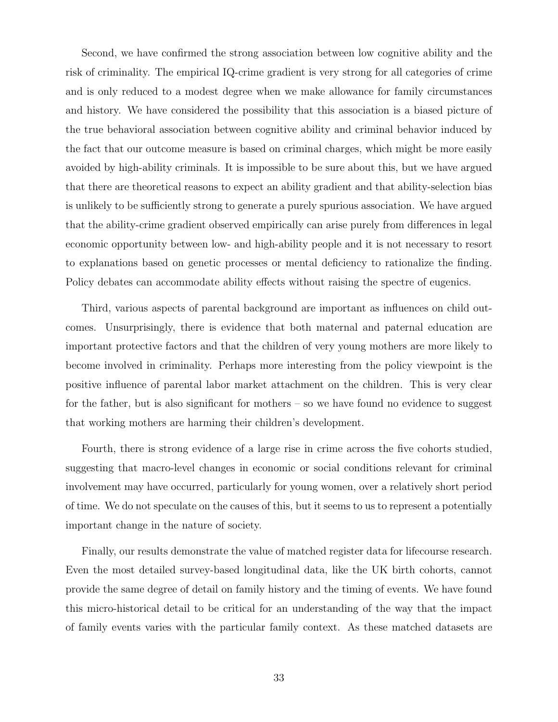Second, we have confirmed the strong association between low cognitive ability and the risk of criminality. The empirical IQ-crime gradient is very strong for all categories of crime and is only reduced to a modest degree when we make allowance for family circumstances and history. We have considered the possibility that this association is a biased picture of the true behavioral association between cognitive ability and criminal behavior induced by the fact that our outcome measure is based on criminal charges, which might be more easily avoided by high-ability criminals. It is impossible to be sure about this, but we have argued that there are theoretical reasons to expect an ability gradient and that ability-selection bias is unlikely to be sufficiently strong to generate a purely spurious association. We have argued that the ability-crime gradient observed empirically can arise purely from differences in legal economic opportunity between low- and high-ability people and it is not necessary to resort to explanations based on genetic processes or mental deficiency to rationalize the finding. Policy debates can accommodate ability effects without raising the spectre of eugenics.

Third, various aspects of parental background are important as influences on child outcomes. Unsurprisingly, there is evidence that both maternal and paternal education are important protective factors and that the children of very young mothers are more likely to become involved in criminality. Perhaps more interesting from the policy viewpoint is the positive influence of parental labor market attachment on the children. This is very clear for the father, but is also significant for mothers – so we have found no evidence to suggest that working mothers are harming their children's development.

Fourth, there is strong evidence of a large rise in crime across the five cohorts studied, suggesting that macro-level changes in economic or social conditions relevant for criminal involvement may have occurred, particularly for young women, over a relatively short period of time. We do not speculate on the causes of this, but it seems to us to represent a potentially important change in the nature of society.

Finally, our results demonstrate the value of matched register data for lifecourse research. Even the most detailed survey-based longitudinal data, like the UK birth cohorts, cannot provide the same degree of detail on family history and the timing of events. We have found this micro-historical detail to be critical for an understanding of the way that the impact of family events varies with the particular family context. As these matched datasets are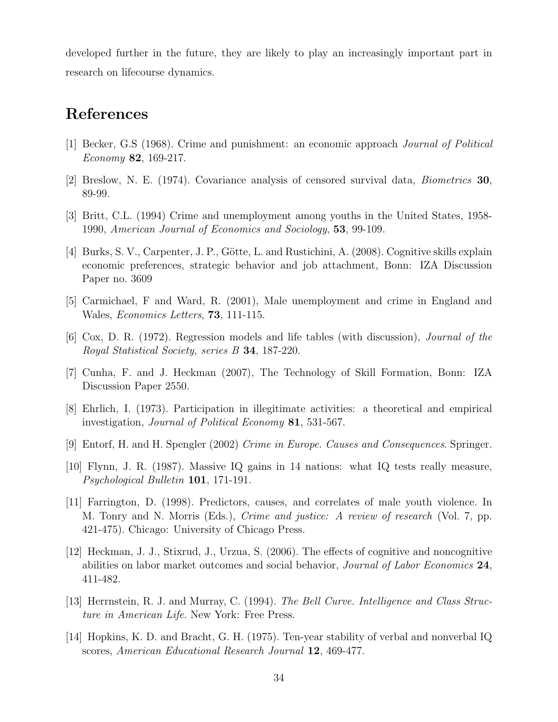developed further in the future, they are likely to play an increasingly important part in research on lifecourse dynamics.

### References

- [1] Becker, G.S (1968). Crime and punishment: an economic approach Journal of Political Economy 82, 169-217.
- [2] Breslow, N. E. (1974). Covariance analysis of censored survival data, Biometrics 30, 89-99.
- [3] Britt, C.L. (1994) Crime and unemployment among youths in the United States, 1958- 1990, American Journal of Economics and Sociology, 53, 99-109.
- [4] Burks, S. V., Carpenter, J. P., Götte, L. and Rustichini, A. (2008). Cognitive skills explain economic preferences, strategic behavior and job attachment, Bonn: IZA Discussion Paper no. 3609
- [5] Carmichael, F and Ward, R. (2001), Male unemployment and crime in England and Wales, Economics Letters, 73, 111-115.
- [6] Cox, D. R. (1972). Regression models and life tables (with discussion), Journal of the Royal Statistical Society, series B 34, 187-220.
- [7] Cunha, F. and J. Heckman (2007), The Technology of Skill Formation, Bonn: IZA Discussion Paper 2550.
- [8] Ehrlich, I. (1973). Participation in illegitimate activities: a theoretical and empirical investigation, Journal of Political Economy 81, 531-567.
- [9] Entorf, H. and H. Spengler (2002) Crime in Europe. Causes and Consequences. Springer.
- [10] Flynn, J. R. (1987). Massive IQ gains in 14 nations: what IQ tests really measure, Psychological Bulletin 101, 171-191.
- [11] Farrington, D. (1998). Predictors, causes, and correlates of male youth violence. In M. Tonry and N. Morris (Eds.), Crime and justice: A review of research (Vol. 7, pp. 421-475). Chicago: University of Chicago Press.
- [12] Heckman, J. J., Stixrud, J., Urzua, S. (2006). The effects of cognitive and noncognitive abilities on labor market outcomes and social behavior, *Journal of Labor Economics*  $24$ , 411-482.
- [13] Herrnstein, R. J. and Murray, C. (1994). The Bell Curve. Intelligence and Class Structure in American Life. New York: Free Press.
- [14] Hopkins, K. D. and Bracht, G. H. (1975). Ten-year stability of verbal and nonverbal IQ scores, American Educational Research Journal 12, 469-477.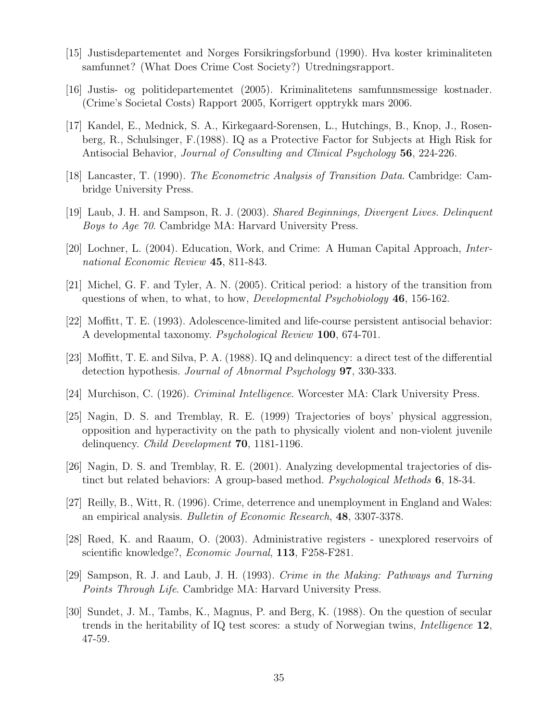- [15] Justisdepartementet and Norges Forsikringsforbund (1990). Hva koster kriminaliteten samfunnet? (What Does Crime Cost Society?) Utredningsrapport.
- [16] Justis- og politidepartementet (2005). Kriminalitetens samfunnsmessige kostnader. (Crime's Societal Costs) Rapport 2005, Korrigert opptrykk mars 2006.
- [17] Kandel, E., Mednick, S. A., Kirkegaard-Sorensen, L., Hutchings, B., Knop, J., Rosenberg, R., Schulsinger, F.(1988). IQ as a Protective Factor for Subjects at High Risk for Antisocial Behavior, Journal of Consulting and Clinical Psychology 56, 224-226.
- [18] Lancaster, T. (1990). The Econometric Analysis of Transition Data. Cambridge: Cambridge University Press.
- [19] Laub, J. H. and Sampson, R. J. (2003). Shared Beginnings, Divergent Lives. Delinquent Boys to Age 70. Cambridge MA: Harvard University Press.
- [20] Lochner, L. (2004). Education, Work, and Crime: A Human Capital Approach, International Economic Review 45, 811-843.
- [21] Michel, G. F. and Tyler, A. N. (2005). Critical period: a history of the transition from questions of when, to what, to how, *Developmental Psychobiology* 46, 156-162.
- [22] Moffitt, T. E. (1993). Adolescence-limited and life-course persistent antisocial behavior: A developmental taxonomy. Psychological Review 100, 674-701.
- [23] Moffitt, T. E. and Silva, P. A. (1988). IQ and delinquency: a direct test of the differential detection hypothesis. *Journal of Abnormal Psychology* **97**, 330-333.
- [24] Murchison, C. (1926). Criminal Intelligence. Worcester MA: Clark University Press.
- [25] Nagin, D. S. and Tremblay, R. E. (1999) Trajectories of boys' physical aggression, opposition and hyperactivity on the path to physically violent and non-violent juvenile delinquency. Child Development 70, 1181-1196.
- [26] Nagin, D. S. and Tremblay, R. E. (2001). Analyzing developmental trajectories of distinct but related behaviors: A group-based method. *Psychological Methods* 6, 18-34.
- [27] Reilly, B., Witt, R. (1996). Crime, deterrence and unemployment in England and Wales: an empirical analysis. Bulletin of Economic Research, 48, 3307-3378.
- [28] Røed, K. and Raaum, O. (2003). Administrative registers unexplored reservoirs of scientific knowledge?, Economic Journal, 113, F258-F281.
- [29] Sampson, R. J. and Laub, J. H. (1993). Crime in the Making: Pathways and Turning Points Through Life. Cambridge MA: Harvard University Press.
- [30] Sundet, J. M., Tambs, K., Magnus, P. and Berg, K. (1988). On the question of secular trends in the heritability of IQ test scores: a study of Norwegian twins, Intelligence 12, 47-59.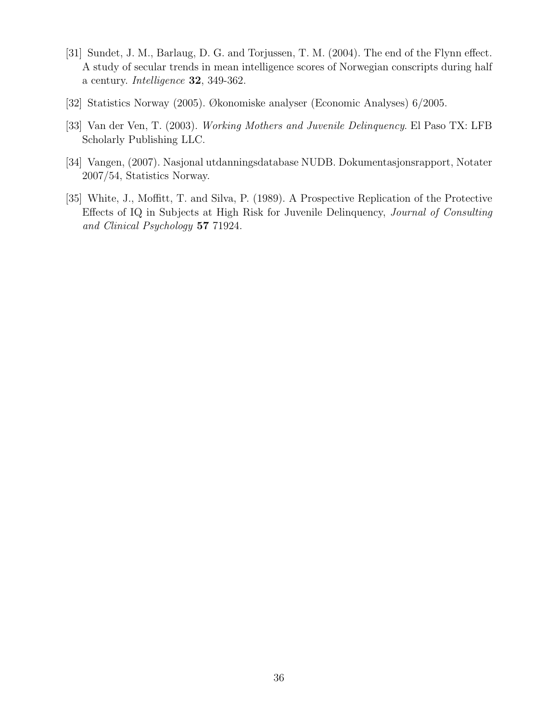- [31] Sundet, J. M., Barlaug, D. G. and Torjussen, T. M. (2004). The end of the Flynn effect. A study of secular trends in mean intelligence scores of Norwegian conscripts during half a century. Intelligence 32, 349-362.
- [32] Statistics Norway (2005). Økonomiske analyser (Economic Analyses) 6/2005.
- [33] Van der Ven, T. (2003). Working Mothers and Juvenile Delinquency. El Paso TX: LFB Scholarly Publishing LLC.
- [34] Vangen, (2007). Nasjonal utdanningsdatabase NUDB. Dokumentasjonsrapport, Notater 2007/54, Statistics Norway.
- [35] White, J., Moffitt, T. and Silva, P. (1989). A Prospective Replication of the Protective Effects of IQ in Subjects at High Risk for Juvenile Delinquency, Journal of Consulting and Clinical Psychology 57 71924.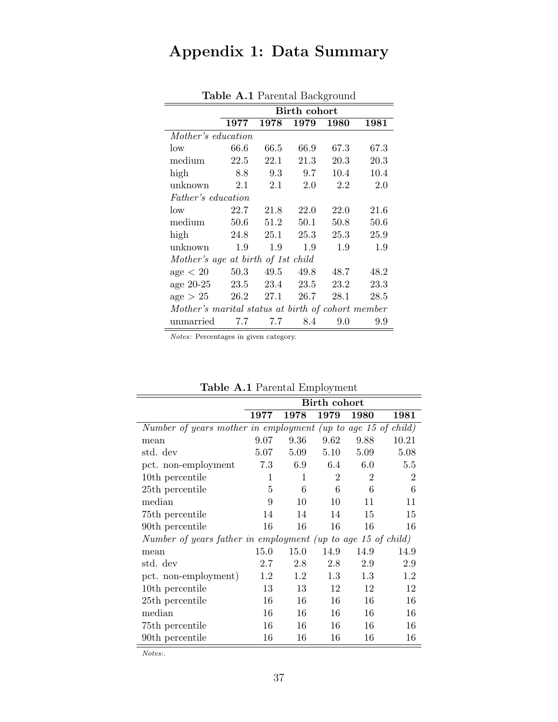# Appendix 1: Data Summary

|                                                   |      |      | <b>Birth cohort</b> |      |      |  |  |  |  |  |  |
|---------------------------------------------------|------|------|---------------------|------|------|--|--|--|--|--|--|
|                                                   |      |      |                     |      |      |  |  |  |  |  |  |
|                                                   | 1977 | 1978 | 1979                | 1980 | 1981 |  |  |  |  |  |  |
| Mother's education                                |      |      |                     |      |      |  |  |  |  |  |  |
| low                                               | 66.6 | 66.5 | 66.9                | 67.3 | 67.3 |  |  |  |  |  |  |
| medium                                            | 22.5 | 22.1 | 21.3                | 20.3 | 20.3 |  |  |  |  |  |  |
| high                                              | 8.8  | 9.3  | 9.7                 | 10.4 | 10.4 |  |  |  |  |  |  |
| unknown                                           | 2.1  | 2.1  | 2.0                 | 2.2  | 2.0  |  |  |  |  |  |  |
| <i>Father's education</i>                         |      |      |                     |      |      |  |  |  |  |  |  |
| low                                               | 22.7 | 21.8 | 22.0                | 22.0 | 21.6 |  |  |  |  |  |  |
| medium                                            | 50.6 | 51.2 | 50.1                | 50.8 | 50.6 |  |  |  |  |  |  |
| high                                              | 24.8 | 25.1 | 25.3                | 25.3 | 25.9 |  |  |  |  |  |  |
| unknown                                           | 1.9  | 1.9  | 1.9                 | 1.9  | 1.9  |  |  |  |  |  |  |
| Mother's age at birth of 1st child                |      |      |                     |      |      |  |  |  |  |  |  |
| age < 20                                          | 50.3 | 49.5 | 49.8                | 48.7 | 48.2 |  |  |  |  |  |  |
| age 20-25 23.5 23.4 23.5                          |      |      |                     | 23.2 | 23.3 |  |  |  |  |  |  |
| $age > 25$ 26.2 27.1                              |      |      | 26.7                | 28.1 | 28.5 |  |  |  |  |  |  |
| Mother's marital status at birth of cohort member |      |      |                     |      |      |  |  |  |  |  |  |
| unmarried                                         | 7.7  | 7.7  | 8.4                 | 9.0  | 9.9  |  |  |  |  |  |  |

Table A.1 Parental Background

Notes: Percentages in given category.

|                                                              |      |      | Birth cohort   |                |                |  |  |  |  |  |
|--------------------------------------------------------------|------|------|----------------|----------------|----------------|--|--|--|--|--|
|                                                              | 1977 | 1978 | 1979           | 1980           | 1981           |  |  |  |  |  |
| Number of years mother in employment (up to age 15 of child) |      |      |                |                |                |  |  |  |  |  |
| mean                                                         | 9.07 | 9.36 | 9.62           | 9.88           | 10.21          |  |  |  |  |  |
| std. dev                                                     | 5.07 | 5.09 | 5.10           | 5.09           | 5.08           |  |  |  |  |  |
| pct. non-employment                                          | 7.3  | 6.9  | 6.4            | 6.0            | 5.5            |  |  |  |  |  |
| 10th percentile                                              | 1    | 1    | $\overline{2}$ | $\overline{2}$ | $\overline{2}$ |  |  |  |  |  |
| 25 <sup>th</sup> percentile                                  | 5    | 6    | 6              | 6              | 6              |  |  |  |  |  |
| median                                                       | 9    | 10   | 10             | 11             | 11             |  |  |  |  |  |
| 75th percentile                                              | 14   | 14   | 14             | 15             | 15             |  |  |  |  |  |
| 90th percentile                                              | 16   | 16   | 16             | 16             | 16             |  |  |  |  |  |
| Number of years father in employment (up to age 15 of child) |      |      |                |                |                |  |  |  |  |  |
| mean                                                         | 15.0 | 15.0 | 14.9           | 14.9           | 14.9           |  |  |  |  |  |
| std. dev                                                     | 2.7  | 2.8  | 2.8            | 2.9            | 2.9            |  |  |  |  |  |
| pct. non-employment)                                         | 1.2  | 1.2  | 1.3            | 1.3            | 1.2            |  |  |  |  |  |
| 10th percentile                                              | 13   | 13   | 12             | 12             | 12             |  |  |  |  |  |
| 25 <sup>th</sup> percentile                                  | 16   | 16   | 16             | 16             | 16             |  |  |  |  |  |
| median                                                       | 16   | 16   | 16             | 16             | 16             |  |  |  |  |  |
| 75th percentile                                              | 16   | 16   | 16             | 16             | 16             |  |  |  |  |  |
| 90th percentile                                              | 16   | 16   | 16             | 16             | 16             |  |  |  |  |  |

Table A.1 Parental Employment

Notes:.